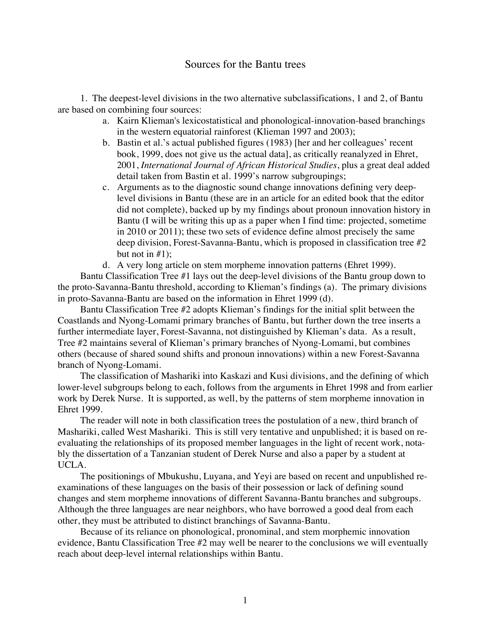# Sources for the Bantu trees

1. The deepest-level divisions in the two alternative subclassifications, 1 and 2, of Bantu are based on combining four sources:

- a. Kairn Klieman's lexicostatistical and phonological-innovation-based branchings in the western equatorial rainforest (Klieman 1997 and 2003);
- b. Bastin et al.'s actual published figures (1983) [her and her colleagues' recent book, 1999, does not give us the actual data], as critically reanalyzed in Ehret, 2001, *International Journal of African Historical Studies*, plus a great deal added detail taken from Bastin et al. 1999's narrow subgroupings;
- c. Arguments as to the diagnostic sound change innovations defining very deeplevel divisions in Bantu (these are in an article for an edited book that the editor did not complete), backed up by my findings about pronoun innovation history in Bantu (I will be writing this up as a paper when I find time: projected, sometime in 2010 or 2011); these two sets of evidence define almost precisely the same deep division, Forest-Savanna-Bantu, which is proposed in classification tree #2 but not in  $#1$ );
- d. A very long article on stem morpheme innovation patterns (Ehret 1999).

Bantu Classification Tree #1 lays out the deep-level divisions of the Bantu group down to the proto-Savanna-Bantu threshold, according to Klieman's findings (a). The primary divisions in proto-Savanna-Bantu are based on the information in Ehret 1999 (d).

Bantu Classification Tree #2 adopts Klieman's findings for the initial split between the Coastlands and Nyong-Lomami primary branches of Bantu, but further down the tree inserts a further intermediate layer, Forest-Savanna, not distinguished by Klieman's data. As a result, Tree #2 maintains several of Klieman's primary branches of Nyong-Lomami, but combines others (because of shared sound shifts and pronoun innovations) within a new Forest-Savanna branch of Nyong-Lomami.

The classification of Mashariki into Kaskazi and Kusi divisions, and the defining of which lower-level subgroups belong to each, follows from the arguments in Ehret 1998 and from earlier work by Derek Nurse. It is supported, as well, by the patterns of stem morpheme innovation in Ehret 1999.

The reader will note in both classification trees the postulation of a new, third branch of Mashariki, called West Mashariki. This is still very tentative and unpublished; it is based on reevaluating the relationships of its proposed member languages in the light of recent work, notably the dissertation of a Tanzanian student of Derek Nurse and also a paper by a student at UCLA.

The positionings of Mbukushu, Luyana, and Yeyi are based on recent and unpublished reexaminations of these languages on the basis of their possession or lack of defining sound changes and stem morpheme innovations of different Savanna-Bantu branches and subgroups. Although the three languages are near neighbors, who have borrowed a good deal from each other, they must be attributed to distinct branchings of Savanna-Bantu.

Because of its reliance on phonological, pronominal, and stem morphemic innovation evidence, Bantu Classification Tree #2 may well be nearer to the conclusions we will eventually reach about deep-level internal relationships within Bantu.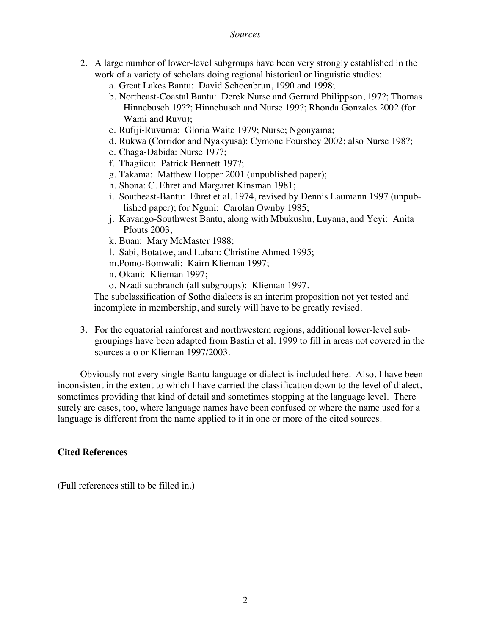#### *Sources*

- 2. A large number of lower-level subgroups have been very strongly established in the work of a variety of scholars doing regional historical or linguistic studies:
	- a. Great Lakes Bantu: David Schoenbrun, 1990 and 1998;
	- b. Northeast-Coastal Bantu: Derek Nurse and Gerrard Philippson, 197?; Thomas Hinnebusch 19??; Hinnebusch and Nurse 199?; Rhonda Gonzales 2002 (for Wami and Ruvu);
	- c. Rufiji-Ruvuma: Gloria Waite 1979; Nurse; Ngonyama;
	- d. Rukwa (Corridor and Nyakyusa): Cymone Fourshey 2002; also Nurse 198?;
	- e. Chaga-Dabida: Nurse 197?;
	- f. Thagiicu: Patrick Bennett 197?;
	- g. Takama: Matthew Hopper 2001 (unpublished paper);
	- h. Shona: C. Ehret and Margaret Kinsman 1981;
	- i. Southeast-Bantu: Ehret et al. 1974, revised by Dennis Laumann 1997 (unpublished paper); for Nguni: Carolan Ownby 1985;
	- j. Kavango-Southwest Bantu, along with Mbukushu, Luyana, and Yeyi: Anita Pfouts 2003;
	- k. Buan: Mary McMaster 1988;
	- l. Sabi, Botatwe, and Luban: Christine Ahmed 1995;
	- m.Pomo-Bomwali: Kairn Klieman 1997;
	- n. Okani: Klieman 1997;
	- o. Nzadi subbranch (all subgroups): Klieman 1997.

The subclassification of Sotho dialects is an interim proposition not yet tested and incomplete in membership, and surely will have to be greatly revised.

3. For the equatorial rainforest and northwestern regions, additional lower-level subgroupings have been adapted from Bastin et al. 1999 to fill in areas not covered in the sources a-o or Klieman 1997/2003.

Obviously not every single Bantu language or dialect is included here. Also, I have been inconsistent in the extent to which I have carried the classification down to the level of dialect, sometimes providing that kind of detail and sometimes stopping at the language level. There surely are cases, too, where language names have been confused or where the name used for a language is different from the name applied to it in one or more of the cited sources.

# **Cited References**

(Full references still to be filled in.)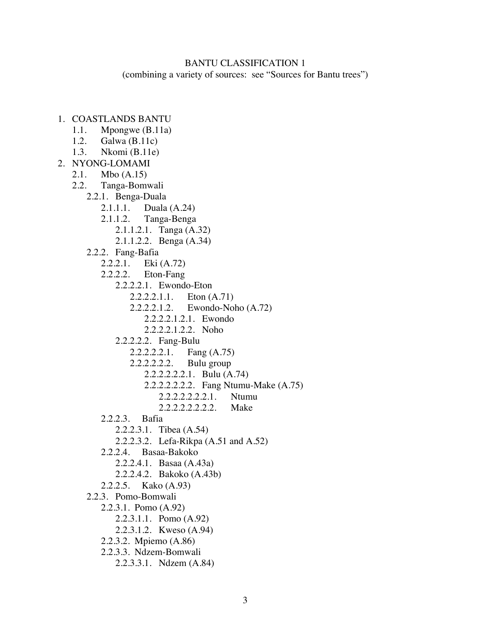## BANTU CLASSIFICATION 1

(combining a variety of sources: see "Sources for Bantu trees")

- 1. COASTLANDS BANTU
	- 1.1. Mpongwe (B.11a)
	- 1.2. Galwa (B.11c)
	- 1.3. Nkomi (B.11e)
- 2. NYONG-LOMAMI
	- 2.1. Mbo (A.15)
	- 2.2. Tanga-Bomwali
		- 2.2.1. Benga-Duala
			- 2.1.1.1. Duala (A.24)
			- 2.1.1.2. Tanga-Benga
				- 2.1.1.2.1. Tanga (A.32)
				- 2.1.1.2.2. Benga (A.34)
			- 2.2.2. Fang-Bafia
				- 2.2.2.1. Eki (A.72)
				- 2.2.2.2. Eton-Fang
					- 2.2.2.2.1. Ewondo-Eton
						- 2.2.2.2.1.1. Eton (A.71)
						- 2.2.2.2.1.2. Ewondo-Noho (A.72)
							- 2.2.2.2.1.2.1. Ewondo
							- 2.2.2.2.1.2.2. Noho
					- 2.2.2.2.2. Fang-Bulu
						- 2.2.2.2.2.1. Fang (A.75)
						- 2.2.2.2.2.2. Bulu group
							- 2.2.2.2.2.2.1. Bulu (A.74)
								- 2.2.2.2.2.2.2. Fang Ntumu-Make (A.75)
									- 2.2.2.2.2.2.2.1. Ntumu
									- 2.2.2.2.2.2.2.2. Make
				- 2.2.2.3. Bafia
					- 2.2.2.3.1. Tibea (A.54)
					- 2.2.2.3.2. Lefa-Rikpa (A.51 and A.52)
				- 2.2.2.4. Basaa-Bakoko
					- 2.2.2.4.1. Basaa (A.43a)
					- 2.2.2.4.2. Bakoko (A.43b)
				- 2.2.2.5. Kako (A.93)
			- 2.2.3. Pomo-Bomwali
				- 2.2.3.1. Pomo (A.92)
					- 2.2.3.1.1. Pomo (A.92)
					- 2.2.3.1.2. Kweso (A.94)
				- 2.2.3.2. Mpiemo (A.86)
				- 2.2.3.3. Ndzem-Bomwali
					- 2.2.3.3.1. Ndzem (A.84)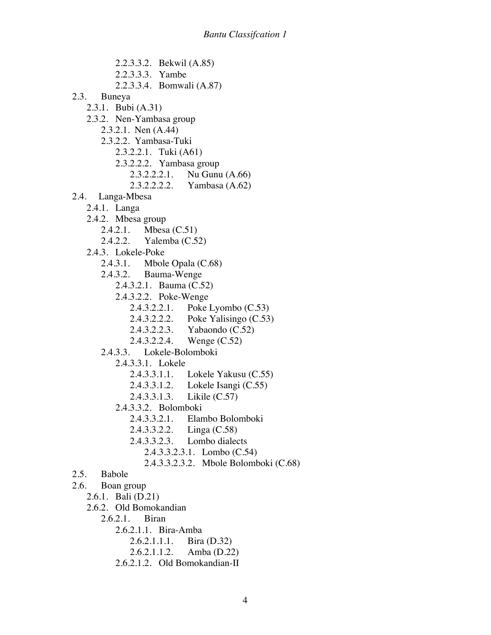- 2.2.3.3.2. Bekwil (A.85) 2.2.3.3.3. Yambe 2.2.3.3.4. Bomwali (A.87) 2.3. Buneya 2.3.1. Bubi (A.31) 2.3.2. Nen-Yambasa group 2.3.2.1. Nen (A.44) 2.3.2.2. Yambasa-Tuki 2.3.2.2.1. Tuki (A61) 2.3.2.2.2. Yambasa group 2.3.2.2.2.1. Nu Gunu (A.66) 2.3.2.2.2.2. Yambasa (A.62) 2.4. Langa-Mbesa 2.4.1. Langa 2.4.2. Mbesa group 2.4.2.1. Mbesa (C.51) 2.4.2.2. Yalemba (C.52) 2.4.3. Lokele-Poke 2.4.3.1. Mbole Opala (C.68) 2.4.3.2. Bauma-Wenge 2.4.3.2.1. Bauma (C.52) 2.4.3.2.2. Poke-Wenge 2.4.3.2.2.1. Poke Lyombo (C.53) 2.4.3.2.2.2. Poke Yalisingo (C.53) 2.4.3.2.2.3. Yabaondo (C.52) 2.4.3.2.2.4. Wenge (C.52) 2.4.3.3. Lokele-Bolomboki 2.4.3.3.1. Lokele 2.4.3.3.1.1. Lokele Yakusu (C.55) 2.4.3.3.1.2. Lokele Isangi (C.55) 2.4.3.3.1.3. Likile (C.57) 2.4.3.3.2. Bolomboki 2.4.3.3.2.1. Elambo Bolomboki 2.4.3.3.2.2. Linga (C.58) 2.4.3.3.2.3. Lombo dialects 2.4.3.3.2.3.1. Lombo (C.54) 2.4.3.3.2.3.2. Mbole Bolomboki (C.68) 2.5. Babole 2.6. Boan group 2.6.1. Bali (D.21) 2.6.2. Old Bomokandian 2.6.2.1. Biran 2.6.2.1.1. Bira-Amba
	- 2.6.2.1.1.1. Bira (D.32)
	- 2.6.2.1.1.2. Amba (D.22)
	- 2.6.2.1.2. Old Bomokandian-II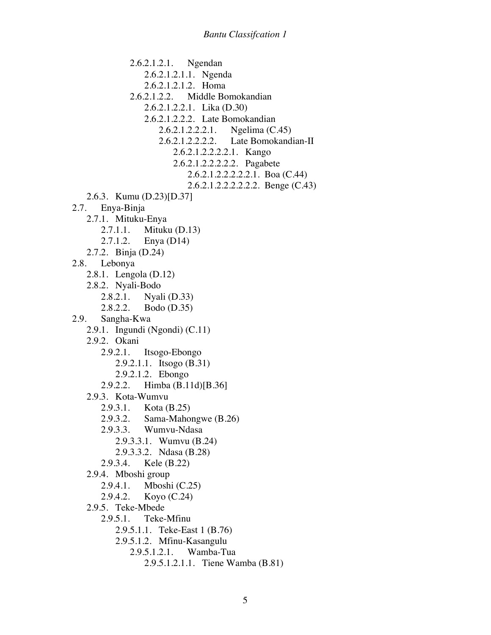2.6.2.1.2.1. Ngendan 2.6.2.1.2.1.1. Ngenda 2.6.2.1.2.1.2. Homa 2.6.2.1.2.2. Middle Bomokandian 2.6.2.1.2.2.1. Lika (D.30) 2.6.2.1.2.2.2. Late Bomokandian 2.6.2.1.2.2.2.1. Ngelima (C.45) 2.6.2.1.2.2.2.2. Late Bomokandian-II 2.6.2.1.2.2.2.2.1. Kango 2.6.2.1.2.2.2.2.2. Pagabete 2.6.2.1.2.2.2.2.2.1. Boa (C.44) 2.6.2.1.2.2.2.2.2.2. Benge (C.43) 2.6.3. Kumu (D.23)[D.37] 2.7. Enya-Binja 2.7.1. Mituku-Enya 2.7.1.1. Mituku (D.13) 2.7.1.2. Enya (D14) 2.7.2. Binja (D.24) 2.8. Lebonya 2.8.1. Lengola (D.12) 2.8.2. Nyali-Bodo 2.8.2.1. Nyali (D.33) 2.8.2.2. Bodo (D.35) 2.9. Sangha-Kwa 2.9.1. Ingundi (Ngondi) (C.11) 2.9.2. Okani 2.9.2.1. Itsogo-Ebongo 2.9.2.1.1. Itsogo (B.31) 2.9.2.1.2. Ebongo 2.9.2.2. Himba (B.11d)[B.36] 2.9.3. Kota-Wumvu 2.9.3.1. Kota (B.25) 2.9.3.2. Sama-Mahongwe (B.26) 2.9.3.3. Wumvu-Ndasa 2.9.3.3.1. Wumvu (B.24) 2.9.3.3.2. Ndasa (B.28) 2.9.3.4. Kele (B.22) 2.9.4. Mboshi group 2.9.4.1. Mboshi (C.25) 2.9.4.2. Koyo (C.24) 2.9.5. Teke-Mbede 2.9.5.1. Teke-Mfinu 2.9.5.1.1. Teke-East 1 (B.76) 2.9.5.1.2. Mfinu-Kasangulu 2.9.5.1.2.1. Wamba-Tua 2.9.5.1.2.1.1. Tiene Wamba (B.81)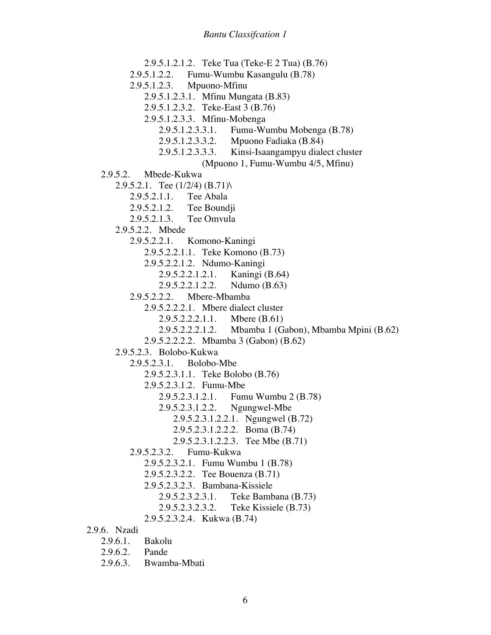2.9.5.1.2.1.2. Teke Tua (Teke-E 2 Tua) (B.76) 2.9.5.1.2.2. Fumu-Wumbu Kasangulu (B.78) 2.9.5.1.2.3. Mpuono-Mfinu 2.9.5.1.2.3.1. Mfinu Mungata (B.83) 2.9.5.1.2.3.2. Teke-East 3 (B.76) 2.9.5.1.2.3.3. Mfinu-Mobenga 2.9.5.1.2.3.3.1. Fumu-Wumbu Mobenga (B.78) 2.9.5.1.2.3.3.2. Mpuono Fadiaka (B.84) 2.9.5.1.2.3.3.3. Kinsi-Isaangampyu dialect cluster (Mpuono 1, Fumu-Wumbu 4/5, Mfinu) 2.9.5.2. Mbede-Kukwa 2.9.5.2.1. Tee  $(1/2/4)$   $(B.71)$ 2.9.5.2.1.1. Tee Abala 2.9.5.2.1.2. Tee Boundji 2.9.5.2.1.3. Tee Omvula 2.9.5.2.2. Mbede 2.9.5.2.2.1. Komono-Kaningi 2.9.5.2.2.1.1. Teke Komono (B.73) 2.9.5.2.2.1.2. Ndumo-Kaningi 2.9.5.2.2.1.2.1. Kaningi (B.64) 2.9.5.2.2.1.2.2. Ndumo (B.63) 2.9.5.2.2.2. Mbere-Mbamba 2.9.5.2.2.2.1. Mbere dialect cluster 2.9.5.2.2.2.1.1. Mbere (B.61) 2.9.5.2.2.2.1.2. Mbamba 1 (Gabon), Mbamba Mpini (B.62) 2.9.5.2.2.2.2. Mbamba 3 (Gabon) (B.62) 2.9.5.2.3. Bolobo-Kukwa 2.9.5.2.3.1. Bolobo-Mbe 2.9.5.2.3.1.1. Teke Bolobo (B.76) 2.9.5.2.3.1.2. Fumu-Mbe 2.9.5.2.3.1.2.1. Fumu Wumbu 2 (B.78) 2.9.5.2.3.1.2.2. Ngungwel-Mbe 2.9.5.2.3.1.2.2.1. Ngungwel (B.72) 2.9.5.2.3.1.2.2.2. Boma (B.74) 2.9.5.2.3.1.2.2.3. Tee Mbe (B.71) 2.9.5.2.3.2. Fumu-Kukwa 2.9.5.2.3.2.1. Fumu Wumbu 1 (B.78) 2.9.5.2.3.2.2. Tee Bouenza (B.71) 2.9.5.2.3.2.3. Bambana-Kissiele 2.9.5.2.3.2.3.1. Teke Bambana (B.73) 2.9.5.2.3.2.3.2. Teke Kissiele (B.73) 2.9.5.2.3.2.4. Kukwa (B.74) 2.9.6. Nzadi 2.9.6.1. Bakolu 2.9.6.2. Pande

2.9.6.3. Bwamba-Mbati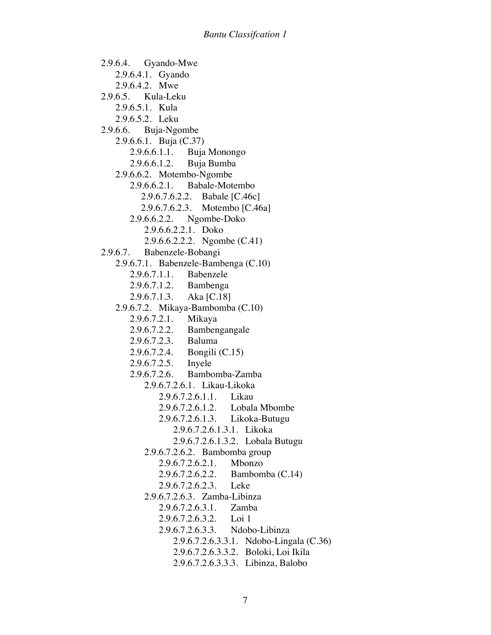2.9.6.4. Gyando-Mwe 2.9.6.4.1. Gyando 2.9.6.4.2. Mwe 2.9.6.5. Kula-Leku 2.9.6.5.1. Kula 2.9.6.5.2. Leku 2.9.6.6. Buja-Ngombe 2.9.6.6.1. Buja (C.37) 2.9.6.6.1.1. Buja Monongo 2.9.6.6.1.2. Buja Bumba 2.9.6.6.2. Motembo-Ngombe 2.9.6.6.2.1. Babale-Motembo 2.9.6.7.6.2.2. Babale [C.46c] 2.9.6.7.6.2.3. Motembo [C.46a] 2.9.6.6.2.2. Ngombe-Doko 2.9.6.6.2.2.1. Doko 2.9.6.6.2.2.2. Ngombe (C.41) 2.9.6.7. Babenzele-Bobangi 2.9.6.7.1. Babenzele-Bambenga (C.10) 2.9.6.7.1.1. Babenzele 2.9.6.7.1.2. Bambenga 2.9.6.7.1.3. Aka [C.18] 2.9.6.7.2. Mikaya-Bambomba (C.10) 2.9.6.7.2.1. Mikaya 2.9.6.7.2.2. Bambengangale 2.9.6.7.2.3. Baluma 2.9.6.7.2.4. Bongili (C.15) 2.9.6.7.2.5. Inyele 2.9.6.7.2.6. Bambomba-Zamba 2.9.6.7.2.6.1. Likau-Likoka 2.9.6.7.2.6.1.1. Likau 2.9.6.7.2.6.1.2. Lobala Mbombe 2.9.6.7.2.6.1.3. Likoka-Butugu 2.9.6.7.2.6.1.3.1. Likoka 2.9.6.7.2.6.1.3.2. Lobala Butugu 2.9.6.7.2.6.2. Bambomba group 2.9.6.7.2.6.2.1. Mbonzo 2.9.6.7.2.6.2.2. Bambomba (C.14) 2.9.6.7.2.6.2.3. Leke 2.9.6.7.2.6.3. Zamba-Libinza 2.9.6.7.2.6.3.1. Zamba 2.9.6.7.2.6.3.2. Loi 1 2.9.6.7.2.6.3.3. Ndobo-Libinza 2.9.6.7.2.6.3.3.1. Ndobo-Lingala (C.36) 2.9.6.7.2.6.3.3.2. Boloki, Loi Ikila 2.9.6.7.2.6.3.3.3. Libinza, Balobo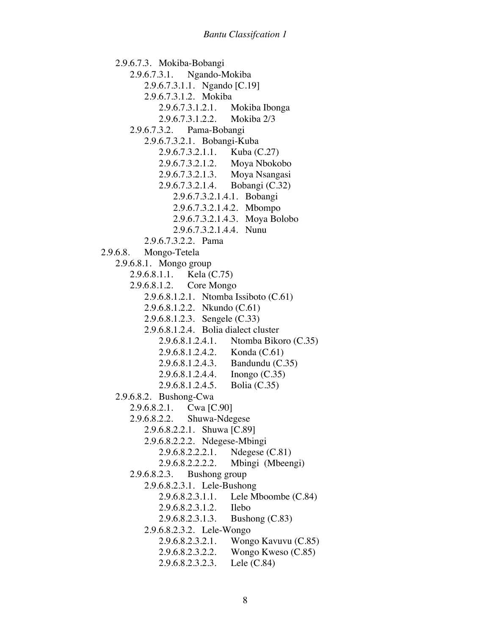2.9.6.7.3. Mokiba-Bobangi 2.9.6.7.3.1. Ngando-Mokiba 2.9.6.7.3.1.1. Ngando [C.19] 2.9.6.7.3.1.2. Mokiba 2.9.6.7.3.1.2.1. Mokiba Ibonga 2.9.6.7.3.1.2.2. Mokiba 2/3 2.9.6.7.3.2. Pama-Bobangi 2.9.6.7.3.2.1. Bobangi-Kuba 2.9.6.7.3.2.1.1. Kuba (C.27) 2.9.6.7.3.2.1.2. Moya Nbokobo 2.9.6.7.3.2.1.3. Moya Nsangasi 2.9.6.7.3.2.1.4. Bobangi (C.32) 2.9.6.7.3.2.1.4.1. Bobangi 2.9.6.7.3.2.1.4.2. Mbompo 2.9.6.7.3.2.1.4.3. Moya Bolobo 2.9.6.7.3.2.1.4.4. Nunu 2.9.6.7.3.2.2. Pama 2.9.6.8. Mongo-Tetela 2.9.6.8.1. Mongo group 2.9.6.8.1.1. Kela (C.75) 2.9.6.8.1.2. Core Mongo 2.9.6.8.1.2.1. Ntomba Issiboto (C.61) 2.9.6.8.1.2.2. Nkundo (C.61) 2.9.6.8.1.2.3. Sengele (C.33) 2.9.6.8.1.2.4. Bolia dialect cluster 2.9.6.8.1.2.4.1. Ntomba Bikoro (C.35) 2.9.6.8.1.2.4.2. Konda (C.61) 2.9.6.8.1.2.4.3. Bandundu (C.35) 2.9.6.8.1.2.4.4. Inongo (C.35) 2.9.6.8.1.2.4.5. Bolia (C.35) 2.9.6.8.2. Bushong-Cwa 2.9.6.8.2.1. Cwa [C.90] 2.9.6.8.2.2. Shuwa-Ndegese 2.9.6.8.2.2.1. Shuwa [C.89] 2.9.6.8.2.2.2. Ndegese-Mbingi 2.9.6.8.2.2.2.1. Ndegese (C.81) 2.9.6.8.2.2.2.2. Mbingi (Mbeengi) 2.9.6.8.2.3. Bushong group 2.9.6.8.2.3.1. Lele-Bushong 2.9.6.8.2.3.1.1. Lele Mboombe (C.84) 2.9.6.8.2.3.1.2. Ilebo 2.9.6.8.2.3.1.3. Bushong (C.83) 2.9.6.8.2.3.2. Lele-Wongo 2.9.6.8.2.3.2.1. Wongo Kavuvu (C.85) 2.9.6.8.2.3.2.2. Wongo Kweso (C.85) 2.9.6.8.2.3.2.3. Lele (C.84)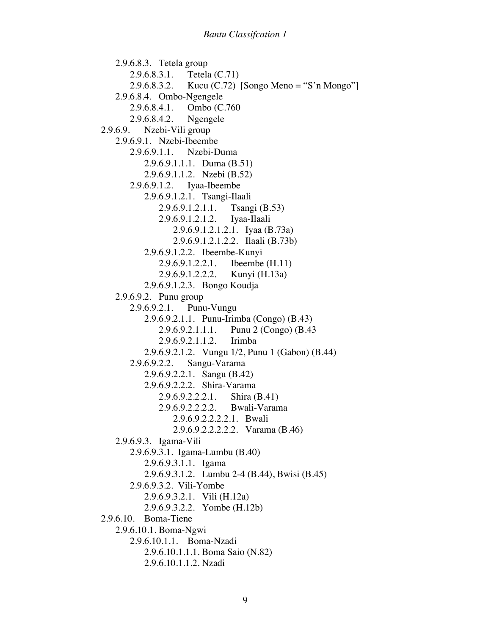2.9.6.8.3. Tetela group 2.9.6.8.3.1. Tetela (C.71) 2.9.6.8.3.2. Kucu (C.72) [Songo Meno = "S'n Mongo"] 2.9.6.8.4. Ombo-Ngengele 2.9.6.8.4.1. Ombo (C.760<br>2.9.6.8.4.2. Ngengele  $2.9.6.8.4.2.$ 2.9.6.9. Nzebi-Vili group 2.9.6.9.1. Nzebi-Ibeembe 2.9.6.9.1.1. Nzebi-Duma 2.9.6.9.1.1.1. Duma (B.51) 2.9.6.9.1.1.2. Nzebi (B.52) 2.9.6.9.1.2. Iyaa-Ibeembe 2.9.6.9.1.2.1. Tsangi-Ilaali 2.9.6.9.1.2.1.1. Tsangi (B.53) 2.9.6.9.1.2.1.2. Iyaa-Ilaali 2.9.6.9.1.2.1.2.1. Iyaa (B.73a) 2.9.6.9.1.2.1.2.2. Ilaali (B.73b) 2.9.6.9.1.2.2. Ibeembe-Kunyi 2.9.6.9.1.2.2.1. Ibeembe (H.11) 2.9.6.9.1.2.2.2. Kunyi (H.13a) 2.9.6.9.1.2.3. Bongo Koudja 2.9.6.9.2. Punu group 2.9.6.9.2.1. Punu-Vungu 2.9.6.9.2.1.1. Punu-Irimba (Congo) (B.43) 2.9.6.9.2.1.1.1. Punu 2 (Congo) (B.43 2.9.6.9.2.1.1.2. Irimba 2.9.6.9.2.1.2. Vungu 1/2, Punu 1 (Gabon) (B.44) 2.9.6.9.2.2. Sangu-Varama 2.9.6.9.2.2.1. Sangu (B.42) 2.9.6.9.2.2.2. Shira-Varama 2.9.6.9.2.2.2.1. Shira (B.41) 2.9.6.9.2.2.2.2. Bwali-Varama 2.9.6.9.2.2.2.2.1. Bwali 2.9.6.9.2.2.2.2.2. Varama (B.46) 2.9.6.9.3. Igama-Vili 2.9.6.9.3.1. Igama-Lumbu (B.40) 2.9.6.9.3.1.1. Igama 2.9.6.9.3.1.2. Lumbu 2-4 (B.44), Bwisi (B.45) 2.9.6.9.3.2. Vili-Yombe 2.9.6.9.3.2.1. Vili (H.12a) 2.9.6.9.3.2.2. Yombe (H.12b) 2.9.6.10. Boma-Tiene 2.9.6.10.1. Boma-Ngwi 2.9.6.10.1.1. Boma-Nzadi 2.9.6.10.1.1.1. Boma Saio (N.82) 2.9.6.10.1.1.2. Nzadi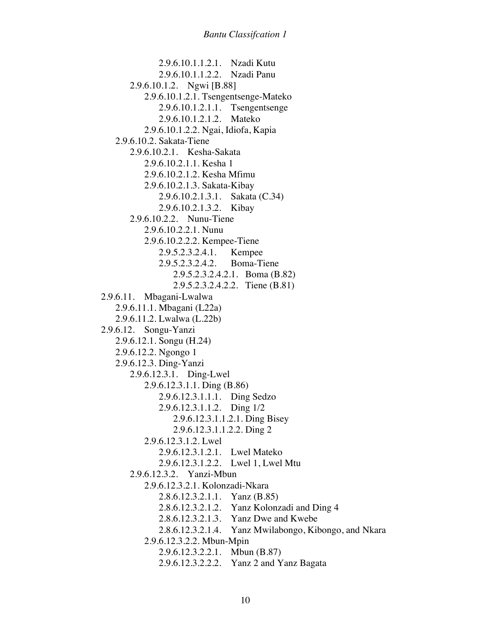2.9.6.10.1.1.2.1. Nzadi Kutu 2.9.6.10.1.1.2.2. Nzadi Panu 2.9.6.10.1.2. Ngwi [B.88] 2.9.6.10.1.2.1. Tsengentsenge-Mateko 2.9.6.10.1.2.1.1. Tsengentsenge 2.9.6.10.1.2.1.2. Mateko 2.9.6.10.1.2.2. Ngai, Idiofa, Kapia 2.9.6.10.2. Sakata-Tiene 2.9.6.10.2.1. Kesha-Sakata 2.9.6.10.2.1.1. Kesha 1 2.9.6.10.2.1.2. Kesha Mfimu 2.9.6.10.2.1.3. Sakata-Kibay 2.9.6.10.2.1.3.1. Sakata (C.34) 2.9.6.10.2.1.3.2. Kibay 2.9.6.10.2.2. Nunu-Tiene 2.9.6.10.2.2.1. Nunu 2.9.6.10.2.2.2. Kempee-Tiene 2.9.5.2.3.2.4.1. Kempee 2.9.5.2.3.2.4.2. Boma-Tiene 2.9.5.2.3.2.4.2.1. Boma (B.82) 2.9.5.2.3.2.4.2.2. Tiene (B.81) 2.9.6.11. Mbagani-Lwalwa 2.9.6.11.1. Mbagani (L22a) 2.9.6.11.2. Lwalwa (L.22b) 2.9.6.12. Songu-Yanzi 2.9.6.12.1. Songu (H.24) 2.9.6.12.2. Ngongo 1 2.9.6.12.3. Ding-Yanzi 2.9.6.12.3.1. Ding-Lwel 2.9.6.12.3.1.1. Ding (B.86) 2.9.6.12.3.1.1.1. Ding Sedzo 2.9.6.12.3.1.1.2. Ding 1/2 2.9.6.12.3.1.1.2.1. Ding Bisey 2.9.6.12.3.1.1.2.2. Ding 2 2.9.6.12.3.1.2. Lwel 2.9.6.12.3.1.2.1. Lwel Mateko 2.9.6.12.3.1.2.2. Lwel 1, Lwel Mtu 2.9.6.12.3.2. Yanzi-Mbun 2.9.6.12.3.2.1. Kolonzadi-Nkara 2.8.6.12.3.2.1.1. Yanz (B.85) 2.8.6.12.3.2.1.2. Yanz Kolonzadi and Ding 4 2.8.6.12.3.2.1.3. Yanz Dwe and Kwebe 2.8.6.12.3.2.1.4. Yanz Mwilabongo, Kibongo, and Nkara 2.9.6.12.3.2.2. Mbun-Mpin 2.9.6.12.3.2.2.1. Mbun (B.87) 2.9.6.12.3.2.2.2. Yanz 2 and Yanz Bagata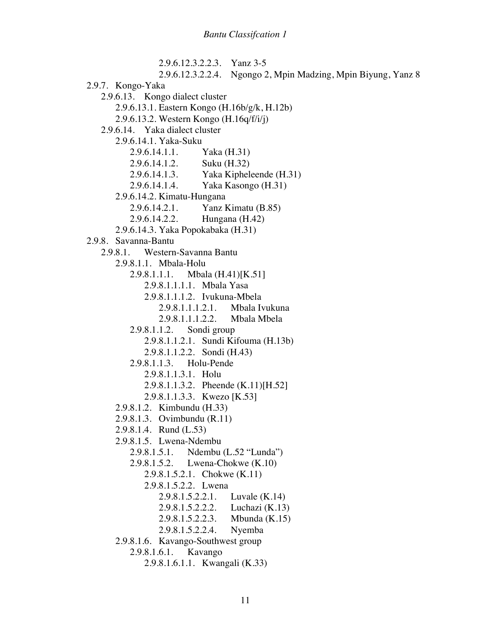2.9.6.12.3.2.2.3. Yanz 3-5 2.9.6.12.3.2.2.4. Ngongo 2, Mpin Madzing, Mpin Biyung, Yanz 8 2.9.7. Kongo-Yaka 2.9.6.13. Kongo dialect cluster 2.9.6.13.1. Eastern Kongo (H.16b/g/k, H.12b) 2.9.6.13.2. Western Kongo (H.16q/f/i/j) 2.9.6.14. Yaka dialect cluster 2.9.6.14.1. Yaka-Suku 2.9.6.14.1.1. Yaka (H.31) 2.9.6.14.1.2. Suku (H.32) 2.9.6.14.1.3. Yaka Kipheleende (H.31) 2.9.6.14.1.4. Yaka Kasongo (H.31) 2.9.6.14.2. Kimatu-Hungana 2.9.6.14.2.1. Yanz Kimatu (B.85) 2.9.6.14.2.2. Hungana (H.42) 2.9.6.14.3. Yaka Popokabaka (H.31) 2.9.8. Savanna-Bantu 2.9.8.1. Western-Savanna Bantu 2.9.8.1.1. Mbala-Holu 2.9.8.1.1.1. Mbala (H.41)[K.51] 2.9.8.1.1.1.1. Mbala Yasa 2.9.8.1.1.1.2. Ivukuna-Mbela 2.9.8.1.1.1.2.1. Mbala Ivukuna 2.9.8.1.1.1.2.2. Mbala Mbela 2.9.8.1.1.2. Sondi group 2.9.8.1.1.2.1. Sundi Kifouma (H.13b) 2.9.8.1.1.2.2. Sondi (H.43) 2.9.8.1.1.3. Holu-Pende 2.9.8.1.1.3.1. Holu 2.9.8.1.1.3.2. Pheende (K.11)[H.52] 2.9.8.1.1.3.3. Kwezo [K.53] 2.9.8.1.2. Kimbundu (H.33) 2.9.8.1.3. Ovimbundu (R.11) 2.9.8.1.4. Rund (L.53) 2.9.8.1.5. Lwena-Ndembu 2.9.8.1.5.1. Ndembu (L.52 "Lunda") 2.9.8.1.5.2. Lwena-Chokwe (K.10) 2.9.8.1.5.2.1. Chokwe (K.11) 2.9.8.1.5.2.2. Lwena 2.9.8.1.5.2.2.1. Luvale (K.14) 2.9.8.1.5.2.2.2. Luchazi (K.13) 2.9.8.1.5.2.2.3. Mbunda (K.15) 2.9.8.1.5.2.2.4. Nyemba 2.9.8.1.6. Kavango-Southwest group 2.9.8.1.6.1. Kavango 2.9.8.1.6.1.1. Kwangali (K.33)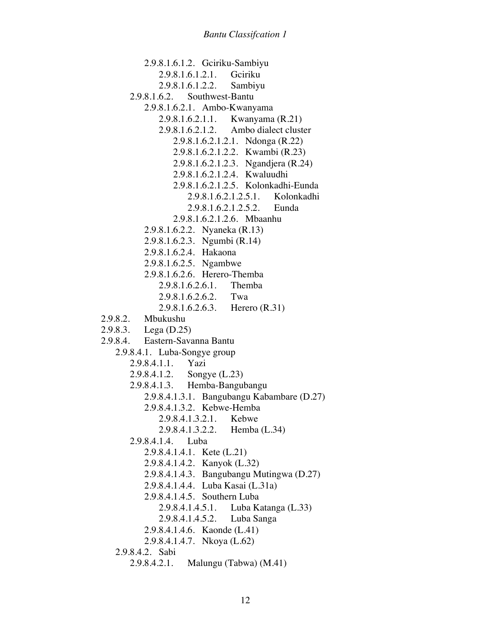2.9.8.1.6.1.2. Gciriku-Sambiyu 2.9.8.1.6.1.2.1. Gciriku 2.9.8.1.6.1.2.2. Sambiyu 2.9.8.1.6.2. Southwest-Bantu 2.9.8.1.6.2.1. Ambo-Kwanyama 2.9.8.1.6.2.1.1. Kwanyama (R.21) 2.9.8.1.6.2.1.2. Ambo dialect cluster 2.9.8.1.6.2.1.2.1. Ndonga (R.22) 2.9.8.1.6.2.1.2.2. Kwambi (R.23) 2.9.8.1.6.2.1.2.3. Ngandjera (R.24) 2.9.8.1.6.2.1.2.4. Kwaluudhi 2.9.8.1.6.2.1.2.5. Kolonkadhi-Eunda 2.9.8.1.6.2.1.2.5.1. Kolonkadhi 2.9.8.1.6.2.1.2.5.2. Eunda 2.9.8.1.6.2.1.2.6. Mbaanhu 2.9.8.1.6.2.2. Nyaneka (R.13) 2.9.8.1.6.2.3. Ngumbi (R.14) 2.9.8.1.6.2.4. Hakaona 2.9.8.1.6.2.5. Ngambwe 2.9.8.1.6.2.6. Herero-Themba 2.9.8.1.6.2.6.1. Themba 2.9.8.1.6.2.6.2. Twa 2.9.8.1.6.2.6.3. Herero (R.31) 2.9.8.2. Mbukushu 2.9.8.3. Lega (D.25) 2.9.8.4. Eastern-Savanna Bantu 2.9.8.4.1. Luba-Songye group 2.9.8.4.1.1. Yazi 2.9.8.4.1.2. Songye (L.23) 2.9.8.4.1.3. Hemba-Bangubangu 2.9.8.4.1.3.1. Bangubangu Kabambare (D.27) 2.9.8.4.1.3.2. Kebwe-Hemba 2.9.8.4.1.3.2.1. Kebwe 2.9.8.4.1.3.2.2. Hemba (L.34) 2.9.8.4.1.4. Luba 2.9.8.4.1.4.1. Kete (L.21) 2.9.8.4.1.4.2. Kanyok (L.32) 2.9.8.4.1.4.3. Bangubangu Mutingwa (D.27) 2.9.8.4.1.4.4. Luba Kasai (L.31a) 2.9.8.4.1.4.5. Southern Luba 2.9.8.4.1.4.5.1. Luba Katanga (L.33) 2.9.8.4.1.4.5.2. Luba Sanga 2.9.8.4.1.4.6. Kaonde (L.41) 2.9.8.4.1.4.7. Nkoya (L.62) 2.9.8.4.2. Sabi 2.9.8.4.2.1. Malungu (Tabwa) (M.41)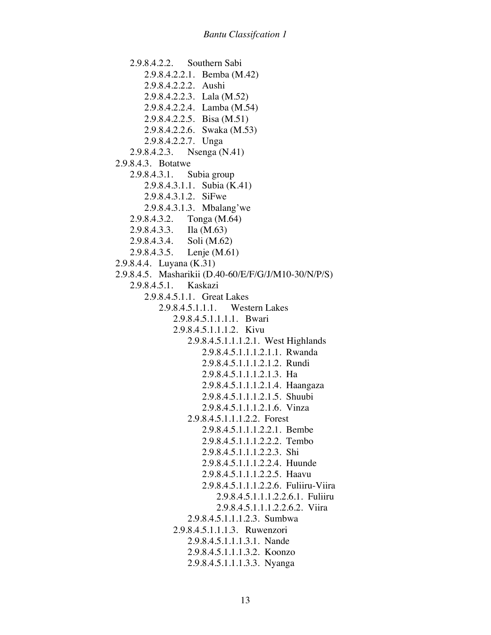2.9.8.4.2.2. Southern Sabi 2.9.8.4.2.2.1. Bemba (M.42) 2.9.8.4.2.2.2. Aushi 2.9.8.4.2.2.3. Lala (M.52) 2.9.8.4.2.2.4. Lamba (M.54) 2.9.8.4.2.2.5. Bisa (M.51) 2.9.8.4.2.2.6. Swaka (M.53) 2.9.8.4.2.2.7. Unga 2.9.8.4.2.3. Nsenga (N.41) 2.9.8.4.3. Botatwe 2.9.8.4.3.1. Subia group 2.9.8.4.3.1.1. Subia (K.41) 2.9.8.4.3.1.2. SiFwe 2.9.8.4.3.1.3. Mbalang'we 2.9.8.4.3.2. Tonga (M.64) 2.9.8.4.3.3. Ila (M.63) 2.9.8.4.3.4. Soli (M.62) 2.9.8.4.3.5. Lenje (M.61) 2.9.8.4.4. Luyana (K.31) 2.9.8.4.5. Masharikii (D.40-60/E/F/G/J/M10-30/N/P/S) 2.9.8.4.5.1. Kaskazi 2.9.8.4.5.1.1. Great Lakes 2.9.8.4.5.1.1.1. Western Lakes 2.9.8.4.5.1.1.1.1. Bwari 2.9.8.4.5.1.1.1.2. Kivu 2.9.8.4.5.1.1.1.2.1. West Highlands 2.9.8.4.5.1.1.1.2.1.1. Rwanda 2.9.8.4.5.1.1.1.2.1.2. Rundi 2.9.8.4.5.1.1.1.2.1.3. Ha 2.9.8.4.5.1.1.1.2.1.4. Haangaza 2.9.8.4.5.1.1.1.2.1.5. Shuubi 2.9.8.4.5.1.1.1.2.1.6. Vinza 2.9.8.4.5.1.1.1.2.2. Forest 2.9.8.4.5.1.1.1.2.2.1. Bembe 2.9.8.4.5.1.1.1.2.2.2. Tembo 2.9.8.4.5.1.1.1.2.2.3. Shi 2.9.8.4.5.1.1.1.2.2.4. Huunde 2.9.8.4.5.1.1.1.2.2.5. Haavu 2.9.8.4.5.1.1.1.2.2.6. Fuliiru-Viira 2.9.8.4.5.1.1.1.2.2.6.1. Fuliiru 2.9.8.4.5.1.1.1.2.2.6.2. Viira 2.9.8.4.5.1.1.1.2.3. Sumbwa 2.9.8.4.5.1.1.1.3. Ruwenzori 2.9.8.4.5.1.1.1.3.1. Nande 2.9.8.4.5.1.1.1.3.2. Koonzo 2.9.8.4.5.1.1.1.3.3. Nyanga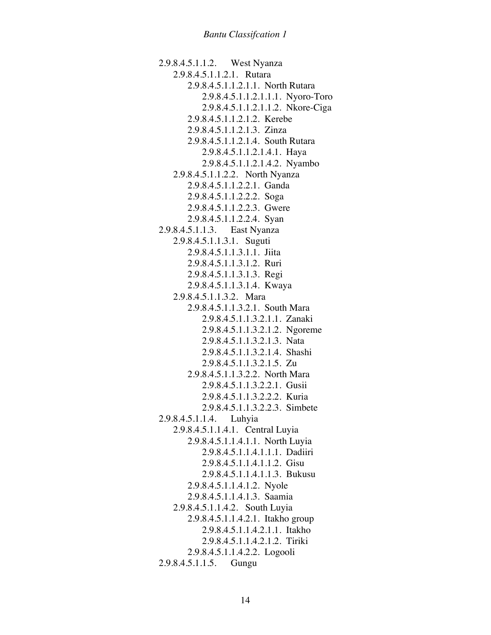2.9.8.4.5.1.1.2. West Nyanza 2.9.8.4.5.1.1.2.1. Rutara 2.9.8.4.5.1.1.2.1.1. North Rutara 2.9.8.4.5.1.1.2.1.1.1. Nyoro-Toro 2.9.8.4.5.1.1.2.1.1.2. Nkore-Ciga 2.9.8.4.5.1.1.2.1.2. Kerebe 2.9.8.4.5.1.1.2.1.3. Zinza 2.9.8.4.5.1.1.2.1.4. South Rutara 2.9.8.4.5.1.1.2.1.4.1. Haya 2.9.8.4.5.1.1.2.1.4.2. Nyambo 2.9.8.4.5.1.1.2.2. North Nyanza 2.9.8.4.5.1.1.2.2.1. Ganda 2.9.8.4.5.1.1.2.2.2. Soga 2.9.8.4.5.1.1.2.2.3. Gwere 2.9.8.4.5.1.1.2.2.4. Syan 2.9.8.4.5.1.1.3. East Nyanza 2.9.8.4.5.1.1.3.1. Suguti 2.9.8.4.5.1.1.3.1.1. Jiita 2.9.8.4.5.1.1.3.1.2. Ruri 2.9.8.4.5.1.1.3.1.3. Regi 2.9.8.4.5.1.1.3.1.4. Kwaya 2.9.8.4.5.1.1.3.2. Mara 2.9.8.4.5.1.1.3.2.1. South Mara 2.9.8.4.5.1.1.3.2.1.1. Zanaki 2.9.8.4.5.1.1.3.2.1.2. Ngoreme 2.9.8.4.5.1.1.3.2.1.3. Nata 2.9.8.4.5.1.1.3.2.1.4. Shashi 2.9.8.4.5.1.1.3.2.1.5. Zu 2.9.8.4.5.1.1.3.2.2. North Mara 2.9.8.4.5.1.1.3.2.2.1. Gusii 2.9.8.4.5.1.1.3.2.2.2. Kuria 2.9.8.4.5.1.1.3.2.2.3. Simbete 2.9.8.4.5.1.1.4. Luhyia 2.9.8.4.5.1.1.4.1. Central Luyia 2.9.8.4.5.1.1.4.1.1. North Luyia 2.9.8.4.5.1.1.4.1.1.1. Dadiiri 2.9.8.4.5.1.1.4.1.1.2. Gisu 2.9.8.4.5.1.1.4.1.1.3. Bukusu 2.9.8.4.5.1.1.4.1.2. Nyole 2.9.8.4.5.1.1.4.1.3. Saamia 2.9.8.4.5.1.1.4.2. South Luyia 2.9.8.4.5.1.1.4.2.1. Itakho group 2.9.8.4.5.1.1.4.2.1.1. Itakho 2.9.8.4.5.1.1.4.2.1.2. Tiriki 2.9.8.4.5.1.1.4.2.2. Logooli 2.9.8.4.5.1.1.5. Gungu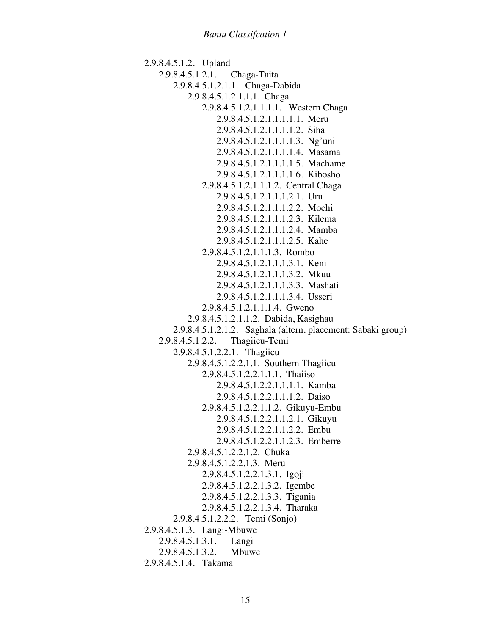```
2.9.8.4.5.1.2. Upland
   2.9.8.4.5.1.2.1. Chaga-Taita
       2.9.8.4.5.1.2.1.1. Chaga-Dabida
           2.9.8.4.5.1.2.1.1.1. Chaga
              2.9.8.4.5.1.2.1.1.1.1. Western Chaga
                  2.9.8.4.5.1.2.1.1.1.1.1. Meru
                  2.9.8.4.5.1.2.1.1.1.1.2. Siha
                  2.9.8.4.5.1.2.1.1.1.1.3. Ng'uni
                  2.9.8.4.5.1.2.1.1.1.1.4. Masama
                  2.9.8.4.5.1.2.1.1.1.1.5. Machame
                  2.9.8.4.5.1.2.1.1.1.1.6. Kibosho
              2.9.8.4.5.1.2.1.1.1.2. Central Chaga
                  2.9.8.4.5.1.2.1.1.1.2.1. Uru
                  2.9.8.4.5.1.2.1.1.1.2.2. Mochi
                  2.9.8.4.5.1.2.1.1.1.2.3. Kilema
                  2.9.8.4.5.1.2.1.1.1.2.4. Mamba
                  2.9.8.4.5.1.2.1.1.1.2.5. Kahe
              2.9.8.4.5.1.2.1.1.1.3. Rombo
                  2.9.8.4.5.1.2.1.1.1.3.1. Keni
                  2.9.8.4.5.1.2.1.1.1.3.2. Mkuu
                  2.9.8.4.5.1.2.1.1.1.3.3. Mashati
                  2.9.8.4.5.1.2.1.1.1.3.4. Usseri
              2.9.8.4.5.1.2.1.1.1.4. Gweno
           2.9.8.4.5.1.2.1.1.2. Dabida, Kasighau
       2.9.8.4.5.1.2.1.2. Saghala (altern. placement: Sabaki group)
   2.9.8.4.5.1.2.2. Thagiicu-Temi
       2.9.8.4.5.1.2.2.1. Thagiicu
           2.9.8.4.5.1.2.2.1.1. Southern Thagiicu
              2.9.8.4.5.1.2.2.1.1.1. Thaiiso
                  2.9.8.4.5.1.2.2.1.1.1.1. Kamba
                  2.9.8.4.5.1.2.2.1.1.1.2. Daiso
              2.9.8.4.5.1.2.2.1.1.2. Gikuyu-Embu
                  2.9.8.4.5.1.2.2.1.1.2.1. Gikuyu
                  2.9.8.4.5.1.2.2.1.1.2.2. Embu
                  2.9.8.4.5.1.2.2.1.1.2.3. Emberre
           2.9.8.4.5.1.2.2.1.2. Chuka
           2.9.8.4.5.1.2.2.1.3. Meru
              2.9.8.4.5.1.2.2.1.3.1. Igoji
              2.9.8.4.5.1.2.2.1.3.2. Igembe
              2.9.8.4.5.1.2.2.1.3.3. Tigania
              2.9.8.4.5.1.2.2.1.3.4. Tharaka
       2.9.8.4.5.1.2.2.2. Temi (Sonjo)
2.9.8.4.5.1.3. Langi-Mbuwe
   2.9.8.4.5.1.3.1. Langi
   2.9.8.4.5.1.3.2. Mbuwe
2.9.8.4.5.1.4. Takama
```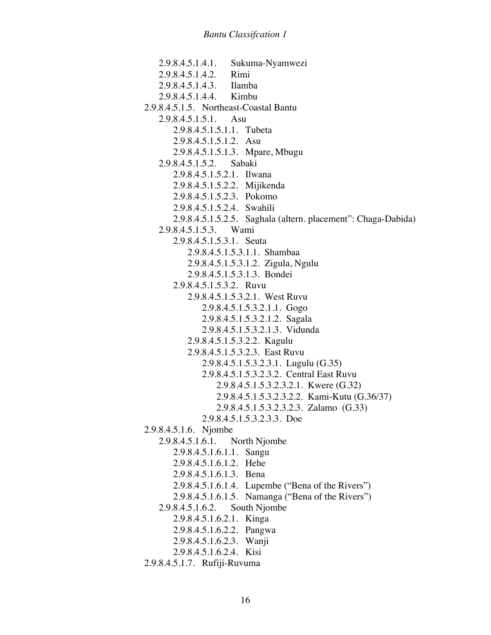2.9.8.4.5.1.4.1. Sukuma-Nyamwezi 2.9.8.4.5.1.4.2. Rimi 2.9.8.4.5.1.4.3. Ilamba 2.9.8.4.5.1.4.4. Kimbu 2.9.8.4.5.1.5. Northeast-Coastal Bantu 2.9.8.4.5.1.5.1. Asu 2.9.8.4.5.1.5.1.1. Tubeta 2.9.8.4.5.1.5.1.2. Asu 2.9.8.4.5.1.5.1.3. Mpare, Mbugu 2.9.8.4.5.1.5.2. Sabaki 2.9.8.4.5.1.5.2.1. Ilwana 2.9.8.4.5.1.5.2.2. Mijikenda 2.9.8.4.5.1.5.2.3. Pokomo 2.9.8.4.5.1.5.2.4. Swahili 2.9.8.4.5.1.5.2.5. Saghala (altern. placement": Chaga-Dabida) 2.9.8.4.5.1.5.3. Wami 2.9.8.4.5.1.5.3.1. Seuta 2.9.8.4.5.1.5.3.1.1. Shambaa 2.9.8.4.5.1.5.3.1.2. Zigula, Ngulu 2.9.8.4.5.1.5.3.1.3. Bondei 2.9.8.4.5.1.5.3.2. Ruvu 2.9.8.4.5.1.5.3.2.1. West Ruvu 2.9.8.4.5.1.5.3.2.1.1. Gogo 2.9.8.4.5.1.5.3.2.1.2. Sagala 2.9.8.4.5.1.5.3.2.1.3. Vidunda 2.9.8.4.5.1.5.3.2.2. Kagulu 2.9.8.4.5.1.5.3.2.3. East Ruvu 2.9.8.4.5.1.5.3.2.3.1. Lugulu (G.35) 2.9.8.4.5.1.5.3.2.3.2. Central East Ruvu 2.9.8.4.5.1.5.3.2.3.2.1. Kwere (G.32) 2.9.8.4.5.1.5.3.2.3.2.2. Kami-Kutu (G.36/37) 2.9.8.4.5.1.5.3.2.3.2.3. Zalamo (G.33) 2.9.8.4.5.1.5.3.2.3.3. Doe 2.9.8.4.5.1.6. Njombe 2.9.8.4.5.1.6.1. North Njombe 2.9.8.4.5.1.6.1.1. Sangu 2.9.8.4.5.1.6.1.2. Hehe 2.9.8.4.5.1.6.1.3. Bena 2.9.8.4.5.1.6.1.4. Lupembe ("Bena of the Rivers") 2.9.8.4.5.1.6.1.5. Namanga ("Bena of the Rivers") 2.9.8.4.5.1.6.2. South Njombe 2.9.8.4.5.1.6.2.1. Kinga 2.9.8.4.5.1.6.2.2. Pangwa 2.9.8.4.5.1.6.2.3. Wanji 2.9.8.4.5.1.6.2.4. Kisi 2.9.8.4.5.1.7. Rufiji-Ruvuma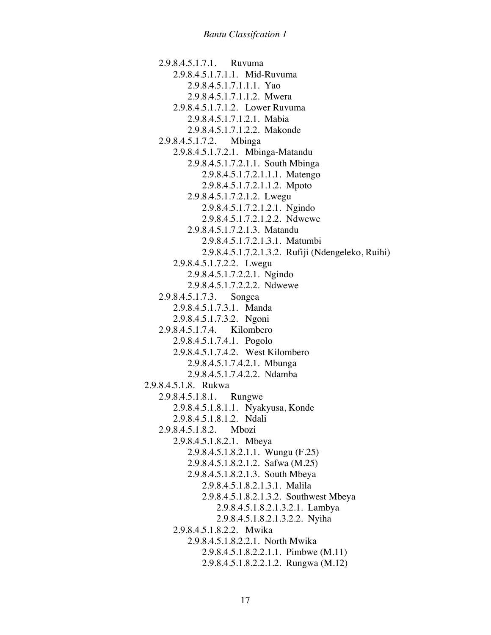2.9.8.4.5.1.7.1. Ruvuma 2.9.8.4.5.1.7.1.1. Mid-Ruvuma 2.9.8.4.5.1.7.1.1.1. Yao 2.9.8.4.5.1.7.1.1.2. Mwera 2.9.8.4.5.1.7.1.2. Lower Ruvuma 2.9.8.4.5.1.7.1.2.1. Mabia 2.9.8.4.5.1.7.1.2.2. Makonde 2.9.8.4.5.1.7.2. Mbinga 2.9.8.4.5.1.7.2.1. Mbinga-Matandu 2.9.8.4.5.1.7.2.1.1. South Mbinga 2.9.8.4.5.1.7.2.1.1.1. Matengo 2.9.8.4.5.1.7.2.1.1.2. Mpoto 2.9.8.4.5.1.7.2.1.2. Lwegu 2.9.8.4.5.1.7.2.1.2.1. Ngindo 2.9.8.4.5.1.7.2.1.2.2. Ndwewe 2.9.8.4.5.1.7.2.1.3. Matandu 2.9.8.4.5.1.7.2.1.3.1. Matumbi 2.9.8.4.5.1.7.2.1.3.2. Rufiji (Ndengeleko, Ruihi) 2.9.8.4.5.1.7.2.2. Lwegu 2.9.8.4.5.1.7.2.2.1. Ngindo 2.9.8.4.5.1.7.2.2.2. Ndwewe 2.9.8.4.5.1.7.3. Songea 2.9.8.4.5.1.7.3.1. Manda 2.9.8.4.5.1.7.3.2. Ngoni 2.9.8.4.5.1.7.4. Kilombero 2.9.8.4.5.1.7.4.1. Pogolo 2.9.8.4.5.1.7.4.2. West Kilombero 2.9.8.4.5.1.7.4.2.1. Mbunga 2.9.8.4.5.1.7.4.2.2. Ndamba 2.9.8.4.5.1.8. Rukwa 2.9.8.4.5.1.8.1. Rungwe 2.9.8.4.5.1.8.1.1. Nyakyusa, Konde 2.9.8.4.5.1.8.1.2. Ndali 2.9.8.4.5.1.8.2. Mbozi 2.9.8.4.5.1.8.2.1. Mbeya 2.9.8.4.5.1.8.2.1.1. Wungu (F.25) 2.9.8.4.5.1.8.2.1.2. Safwa (M.25) 2.9.8.4.5.1.8.2.1.3. South Mbeya 2.9.8.4.5.1.8.2.1.3.1. Malila 2.9.8.4.5.1.8.2.1.3.2. Southwest Mbeya 2.9.8.4.5.1.8.2.1.3.2.1. Lambya 2.9.8.4.5.1.8.2.1.3.2.2. Nyiha 2.9.8.4.5.1.8.2.2. Mwika 2.9.8.4.5.1.8.2.2.1. North Mwika 2.9.8.4.5.1.8.2.2.1.1. Pimbwe (M.11) 2.9.8.4.5.1.8.2.2.1.2. Rungwa (M.12)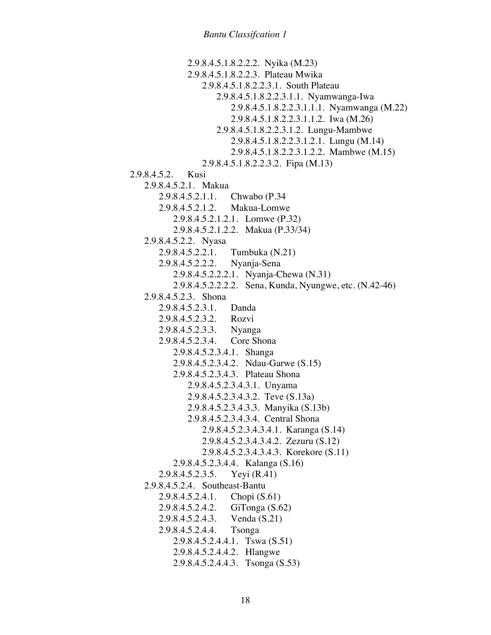2.9.8.4.5.1.8.2.2.2. Nyika (M.23) 2.9.8.4.5.1.8.2.2.3. Plateau Mwika 2.9.8.4.5.1.8.2.2.3.1. South Plateau 2.9.8.4.5.1.8.2.2.3.1.1. Nyamwanga-Iwa 2.9.8.4.5.1.8.2.2.3.1.1.1. Nyamwanga (M.22) 2.9.8.4.5.1.8.2.2.3.1.1.2. Iwa (M.26) 2.9.8.4.5.1.8.2.2.3.1.2. Lungu-Mambwe 2.9.8.4.5.1.8.2.2.3.1.2.1. Lungu (M.14) 2.9.8.4.5.1.8.2.2.3.1.2.2. Mambwe (M.15) 2.9.8.4.5.1.8.2.2.3.2. Fipa (M.13) 2.9.8.4.5.2. Kusi 2.9.8.4.5.2.1. Makua 2.9.8.4.5.2.1.1. Chwabo (P.34 2.9.8.4.5.2.1.2. Makua-Lomwe 2.9.8.4.5.2.1.2.1. Lomwe (P.32) 2.9.8.4.5.2.1.2.2. Makua (P.33/34) 2.9.8.4.5.2.2. Nyasa 2.9.8.4.5.2.2.1. Tumbuka (N.21) 2.9.8.4.5.2.2.2. Nyanja-Sena 2.9.8.4.5.2.2.2.1. Nyanja-Chewa (N.31) 2.9.8.4.5.2.2.2.2. Sena, Kunda, Nyungwe, etc. (N.42-46) 2.9.8.4.5.2.3. Shona 2.9.8.4.5.2.3.1. Danda 2.9.8.4.5.2.3.2. Rozvi 2.9.8.4.5.2.3.3. Nyanga 2.9.8.4.5.2.3.4. Core Shona 2.9.8.4.5.2.3.4.1. Shanga 2.9.8.4.5.2.3.4.2. Ndau-Garwe (S.15) 2.9.8.4.5.2.3.4.3. Plateau Shona 2.9.8.4.5.2.3.4.3.1. Unyama 2.9.8.4.5.2.3.4.3.2. Teve (S.13a) 2.9.8.4.5.2.3.4.3.3. Manyika (S.13b) 2.9.8.4.5.2.3.4.3.4. Central Shona 2.9.8.4.5.2.3.4.3.4.1. Karanga (S.14) 2.9.8.4.5.2.3.4.3.4.2. Zezuru (S.12) 2.9.8.4.5.2.3.4.3.4.3. Korekore (S.11) 2.9.8.4.5.2.3.4.4. Kalanga (S.16) 2.9.8.4.5.2.3.5. Yeyi (R.41) 2.9.8.4.5.2.4. Southeast-Bantu 2.9.8.4.5.2.4.1. Chopi (S.61) 2.9.8.4.5.2.4.2. GiTonga (S.62) 2.9.8.4.5.2.4.3. Venda (S.21) 2.9.8.4.5.2.4.4. Tsonga 2.9.8.4.5.2.4.4.1. Tswa (S.51) 2.9.8.4.5.2.4.4.2. Hlangwe 2.9.8.4.5.2.4.4.3. Tsonga (S.53)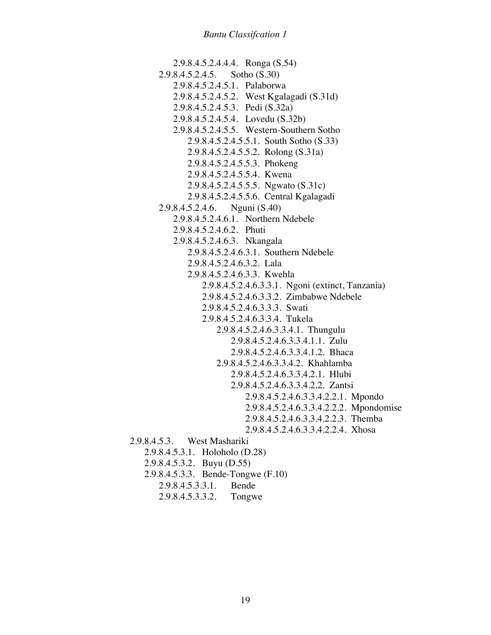2.9.8.4.5.2.4.4.4. Ronga (S.54) 2.9.8.4.5.2.4.5. Sotho (S.30) 2.9.8.4.5.2.4.5.1. Palaborwa 2.9.8.4.5.2.4.5.2. West Kgalagadi (S.31d) 2.9.8.4.5.2.4.5.3. Pedi (S.32a) 2.9.8.4.5.2.4.5.4. Lovedu (S.32b) 2.9.8.4.5.2.4.5.5. Western-Southern Sotho 2.9.8.4.5.2.4.5.5.1. South Sotho (S.33) 2.9.8.4.5.2.4.5.5.2. Rolong (S.31a) 2.9.8.4.5.2.4.5.5.3. Phokeng 2.9.8.4.5.2.4.5.5.4. Kwena 2.9.8.4.5.2.4.5.5.5. Ngwato (S.31c) 2.9.8.4.5.2.4.5.5.6. Central Kgalagadi 2.9.8.4.5.2.4.6. Nguni (S.40) 2.9.8.4.5.2.4.6.1. Northern Ndebele 2.9.8.4.5.2.4.6.2. Phuti 2.9.8.4.5.2.4.6.3. Nkangala 2.9.8.4.5.2.4.6.3.1. Southern Ndebele 2.9.8.4.5.2.4.6.3.2. Lala 2.9.8.4.5.2.4.6.3.3. Kwehla 2.9.8.4.5.2.4.6.3.3.1. Ngoni (extinct, Tanzania) 2.9.8.4.5.2.4.6.3.3.2. Zimbabwe Ndebele 2.9.8.4.5.2.4.6.3.3.3. Swati 2.9.8.4.5.2.4.6.3.3.4. Tukela 2.9.8.4.5.2.4.6.3.3.4.1. Thungulu 2.9.8.4.5.2.4.6.3.3.4.1.1. Zulu 2.9.8.4.5.2.4.6.3.3.4.1.2. Bhaca 2.9.8.4.5.2.4.6.3.3.4.2. Khahlamba 2.9.8.4.5.2.4.6.3.3.4.2.1. Hlubi 2.9.8.4.5.2.4.6.3.3.4.2.2. Zantsi 2.9.8.4.5.2.4.6.3.3.4.2.2.1. Mpondo 2.9.8.4.5.2.4.6.3.3.4.2.2.2. Mpondomise 2.9.8.4.5.2.4.6.3.3.4.2.2.3. Themba 2.9.8.4.5.2.4.6.3.3.4.2.2.4. Xhosa 2.9.8.4.5.3. West Mashariki 2.9.8.4.5.3.1. Holoholo (D.28) 2.9.8.4.5.3.2. Buyu (D.55) 2.9.8.4.5.3.3. Bende-Tongwe (F.10) 2.9.8.4.5.3.3.1. Bende

2.9.8.4.5.3.3.2. Tongwe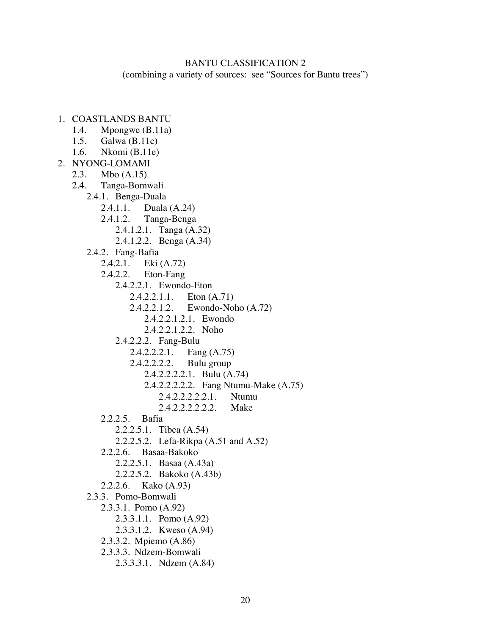### BANTU CLASSIFICATION 2

(combining a variety of sources: see "Sources for Bantu trees")

- 1. COASTLANDS BANTU
	- 1.4. Mpongwe (B.11a)
	- 1.5. Galwa (B.11c)
	- 1.6. Nkomi (B.11e)
- 2. NYONG-LOMAMI
	- 2.3. Mbo (A.15)
	- 2.4. Tanga-Bomwali
	- 2.4.1. Benga-Duala
		- 2.4.1.1. Duala (A.24)
		- 2.4.1.2. Tanga-Benga
			- 2.4.1.2.1. Tanga (A.32)
			- 2.4.1.2.2. Benga (A.34)
		- 2.4.2. Fang-Bafia
			- 2.4.2.1. Eki (A.72)
			- 2.4.2.2. Eton-Fang
				- 2.4.2.2.1. Ewondo-Eton
					- 2.4.2.2.1.1. Eton (A.71)
					- 2.4.2.2.1.2. Ewondo-Noho (A.72)
						- 2.4.2.2.1.2.1. Ewondo
						- 2.4.2.2.1.2.2. Noho
				- 2.4.2.2.2. Fang-Bulu
					- 2.4.2.2.2.1. Fang (A.75)
					- 2.4.2.2.2.2. Bulu group
						- 2.4.2.2.2.2.1. Bulu (A.74)
							- 2.4.2.2.2.2.2. Fang Ntumu-Make (A.75)
								- 2.4.2.2.2.2.2.1. Ntumu
								- 2.4.2.2.2.2.2.2. Make
			- 2.2.2.5. Bafia
				- 2.2.2.5.1. Tibea (A.54)
				- 2.2.2.5.2. Lefa-Rikpa (A.51 and A.52)
			- 2.2.2.6. Basaa-Bakoko
				- 2.2.2.5.1. Basaa (A.43a)
				- 2.2.2.5.2. Bakoko (A.43b)
		- 2.2.2.6. Kako (A.93)
		- 2.3.3. Pomo-Bomwali
			- 2.3.3.1. Pomo (A.92)
				- 2.3.3.1.1. Pomo (A.92)
				- 2.3.3.1.2. Kweso (A.94)
			- 2.3.3.2. Mpiemo (A.86)
			- 2.3.3.3. Ndzem-Bomwali
				- 2.3.3.3.1. Ndzem (A.84)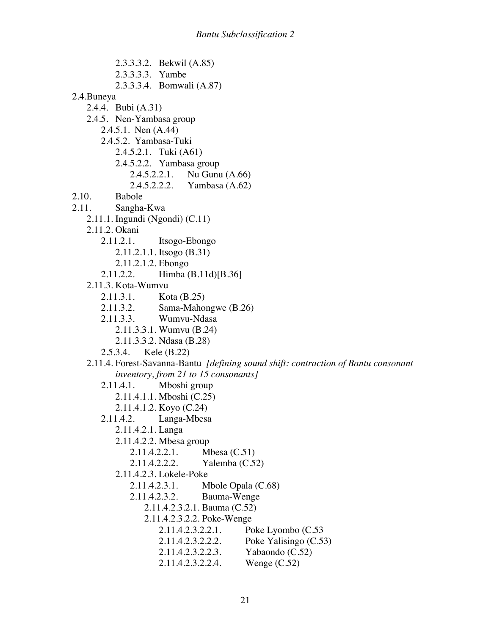2.3.3.3.2. Bekwil (A.85) 2.3.3.3.3. Yambe 2.3.3.3.4. Bomwali (A.87) 2.4.Buneya 2.4.4. Bubi (A.31) 2.4.5. Nen-Yambasa group 2.4.5.1. Nen (A.44) 2.4.5.2. Yambasa-Tuki 2.4.5.2.1. Tuki (A61) 2.4.5.2.2. Yambasa group 2.4.5.2.2.1. Nu Gunu (A.66) 2.4.5.2.2.2. Yambasa (A.62) 2.10. Babole 2.11. Sangha-Kwa 2.11.1. Ingundi (Ngondi) (C.11) 2.11.2. Okani 2.11.2.1. Itsogo-Ebongo 2.11.2.1.1. Itsogo (B.31) 2.11.2.1.2. Ebongo 2.11.2.2. Himba (B.11d)[B.36] 2.11.3. Kota-Wumvu 2.11.3.1. Kota (B.25) 2.11.3.2. Sama-Mahongwe (B.26) 2.11.3.3. Wumvu-Ndasa 2.11.3.3.1. Wumvu (B.24) 2.11.3.3.2. Ndasa (B.28) 2.5.3.4. Kele (B.22) 2.11.4. Forest-Savanna-Bantu *[defining sound shift: contraction of Bantu consonant inventory, from 21 to 15 consonants]* 2.11.4.1. Mboshi group 2.11.4.1.1. Mboshi (C.25) 2.11.4.1.2. Koyo (C.24) 2.11.4.2. Langa-Mbesa 2.11.4.2.1. Langa 2.11.4.2.2. Mbesa group 2.11.4.2.2.1. Mbesa (C.51) 2.11.4.2.2.2. Yalemba (C.52) 2.11.4.2.3. Lokele-Poke 2.11.4.2.3.1. Mbole Opala (C.68) 2.11.4.2.3.2. Bauma-Wenge 2.11.4.2.3.2.1. Bauma (C.52) 2.11.4.2.3.2.2. Poke-Wenge 2.11.4.2.3.2.2.1. Poke Lyombo (C.53 2.11.4.2.3.2.2.2. Poke Yalisingo (C.53) 2.11.4.2.3.2.2.3. Yabaondo (C.52) 2.11.4.2.3.2.2.4. Wenge (C.52)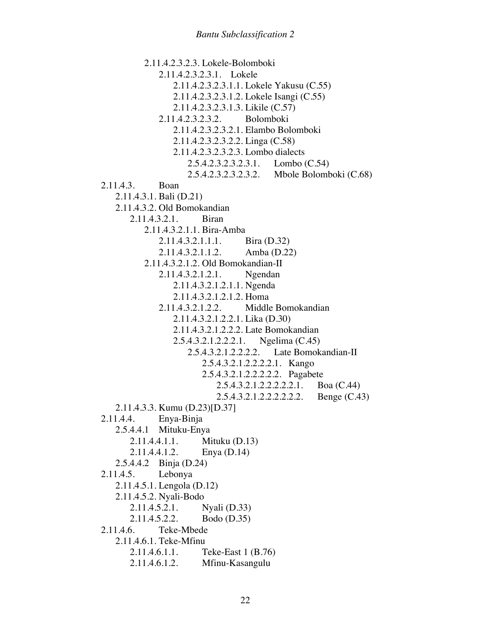2.11.4.2.3.2.3. Lokele-Bolomboki 2.11.4.2.3.2.3.1. Lokele 2.11.4.2.3.2.3.1.1. Lokele Yakusu (C.55) 2.11.4.2.3.2.3.1.2. Lokele Isangi (C.55) 2.11.4.2.3.2.3.1.3. Likile (C.57) 2.11.4.2.3.2.3.2. Bolomboki 2.11.4.2.3.2.3.2.1. Elambo Bolomboki 2.11.4.2.3.2.3.2.2. Linga (C.58) 2.11.4.2.3.2.3.2.3. Lombo dialects 2.5.4.2.3.2.3.2.3.1. Lombo (C.54) 2.5.4.2.3.2.3.2.3.2. Mbole Bolomboki (C.68) 2.11.4.3. Boan 2.11.4.3.1. Bali (D.21) 2.11.4.3.2. Old Bomokandian 2.11.4.3.2.1. Biran 2.11.4.3.2.1.1. Bira-Amba 2.11.4.3.2.1.1.1. Bira (D.32) 2.11.4.3.2.1.1.2. Amba (D.22) 2.11.4.3.2.1.2. Old Bomokandian-II 2.11.4.3.2.1.2.1. Ngendan 2.11.4.3.2.1.2.1.1. Ngenda 2.11.4.3.2.1.2.1.2. Homa 2.11.4.3.2.1.2.2. Middle Bomokandian 2.11.4.3.2.1.2.2.1. Lika (D.30) 2.11.4.3.2.1.2.2.2. Late Bomokandian 2.5.4.3.2.1.2.2.2.1. Ngelima (C.45) 2.5.4.3.2.1.2.2.2.2. Late Bomokandian-II 2.5.4.3.2.1.2.2.2.2.1. Kango 2.5.4.3.2.1.2.2.2.2.2. Pagabete 2.5.4.3.2.1.2.2.2.2.2.1. Boa (C.44) 2.5.4.3.2.1.2.2.2.2.2.2. Benge (C.43) 2.11.4.3.3. Kumu (D.23)[D.37] 2.11.4.4. Enya-Binja 2.5.4.4.1 Mituku-Enya 2.11.4.4.1.1. Mituku (D.13) 2.11.4.4.1.2. Enya (D.14) 2.5.4.4.2 Binja (D.24) 2.11.4.5. Lebonya 2.11.4.5.1. Lengola (D.12) 2.11.4.5.2. Nyali-Bodo<br>2.11.4.5.2.1.  $N$ yali (D.33) 2.11.4.5.2.2. Bodo (D.35) 2.11.4.6. Teke-Mbede 2.11.4.6.1. Teke-Mfinu 2.11.4.6.1.1. Teke-East 1 (B.76) 2.11.4.6.1.2. Mfinu-Kasangulu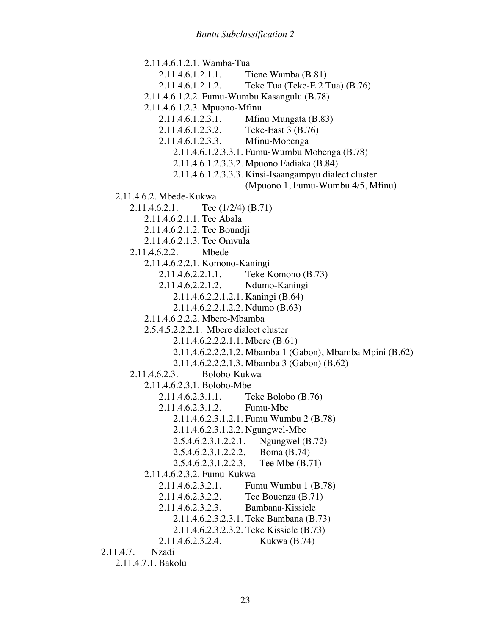2.11.4.6.1.2.1. Wamba-Tua 2.11.4.6.1.2.1.1. Tiene Wamba (B.81) 2.11.4.6.1.2.1.2. Teke Tua (Teke-E 2 Tua) (B.76) 2.11.4.6.1.2.2. Fumu-Wumbu Kasangulu (B.78) 2.11.4.6.1.2.3. Mpuono-Mfinu 2.11.4.6.1.2.3.1. Mfinu Mungata (B.83) 2.11.4.6.1.2.3.2. Teke-East 3 (B.76) 2.11.4.6.1.2.3.3. Mfinu-Mobenga 2.11.4.6.1.2.3.3.1. Fumu-Wumbu Mobenga (B.78) 2.11.4.6.1.2.3.3.2. Mpuono Fadiaka (B.84) 2.11.4.6.1.2.3.3.3. Kinsi-Isaangampyu dialect cluster (Mpuono 1, Fumu-Wumbu 4/5, Mfinu) 2.11.4.6.2. Mbede-Kukwa 2.11.4.6.2.1. Tee (1/2/4) (B.71) 2.11.4.6.2.1.1. Tee Abala 2.11.4.6.2.1.2. Tee Boundji 2.11.4.6.2.1.3. Tee Omvula 2.11.4.6.2.2. Mbede 2.11.4.6.2.2.1. Komono-Kaningi 2.11.4.6.2.2.1.1. Teke Komono (B.73) 2.11.4.6.2.2.1.2. Ndumo-Kaningi 2.11.4.6.2.2.1.2.1. Kaningi (B.64) 2.11.4.6.2.2.1.2.2. Ndumo (B.63) 2.11.4.6.2.2.2. Mbere-Mbamba 2.5.4.5.2.2.2.1. Mbere dialect cluster 2.11.4.6.2.2.2.1.1. Mbere (B.61) 2.11.4.6.2.2.2.1.2. Mbamba 1 (Gabon), Mbamba Mpini (B.62) 2.11.4.6.2.2.2.1.3. Mbamba 3 (Gabon) (B.62) 2.11.4.6.2.3. Bolobo-Kukwa 2.11.4.6.2.3.1. Bolobo-Mbe 2.11.4.6.2.3.1.1. Teke Bolobo (B.76) 2.11.4.6.2.3.1.2. Fumu-Mbe 2.11.4.6.2.3.1.2.1. Fumu Wumbu 2 (B.78) 2.11.4.6.2.3.1.2.2. Ngungwel-Mbe 2.5.4.6.2.3.1.2.2.1. Ngungwel (B.72) 2.5.4.6.2.3.1.2.2.2. Boma (B.74) 2.5.4.6.2.3.1.2.2.3. Tee Mbe (B.71) 2.11.4.6.2.3.2. Fumu-Kukwa 2.11.4.6.2.3.2.1. Fumu Wumbu 1 (B.78) 2.11.4.6.2.3.2.2. Tee Bouenza (B.71) 2.11.4.6.2.3.2.3. Bambana-Kissiele 2.11.4.6.2.3.2.3.1. Teke Bambana (B.73) 2.11.4.6.2.3.2.3.2. Teke Kissiele (B.73) 2.11.4.6.2.3.2.4. Kukwa (B.74) 2.11.4.7. Nzadi 2.11.4.7.1. Bakolu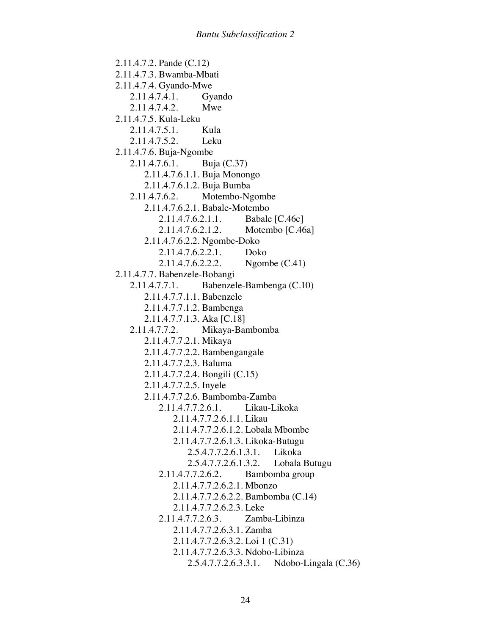2.11.4.7.2. Pande (C.12) 2.11.4.7.3. Bwamba-Mbati 2.11.4.7.4. Gyando-Mwe 2.11.4.7.4.1. Gyando 2.11.4.7.4.2. Mwe 2.11.4.7.5. Kula-Leku 2.11.4.7.5.1. Kula 2.11.4.7.5.2. Leku 2.11.4.7.6. Buja-Ngombe 2.11.4.7.6.1. Buja (C.37) 2.11.4.7.6.1.1. Buja Monongo 2.11.4.7.6.1.2. Buja Bumba 2.11.4.7.6.2. Motembo-Ngombe 2.11.4.7.6.2.1. Babale-Motembo 2.11.4.7.6.2.1.1. Babale [C.46c] 2.11.4.7.6.2.1.2. Motembo [C.46a] 2.11.4.7.6.2.2. Ngombe-Doko 2.11.4.7.6.2.2.1. Doko 2.11.4.7.6.2.2.2. Ngombe (C.41) 2.11.4.7.7. Babenzele-Bobangi 2.11.4.7.7.1. Babenzele-Bambenga (C.10) 2.11.4.7.7.1.1. Babenzele 2.11.4.7.7.1.2. Bambenga 2.11.4.7.7.1.3. Aka [C.18] 2.11.4.7.7.2. Mikaya-Bambomba 2.11.4.7.7.2.1. Mikaya 2.11.4.7.7.2.2. Bambengangale 2.11.4.7.7.2.3. Baluma 2.11.4.7.7.2.4. Bongili (C.15) 2.11.4.7.7.2.5. Inyele 2.11.4.7.7.2.6. Bambomba-Zamba 2.11.4.7.7.2.6.1. Likau-Likoka 2.11.4.7.7.2.6.1.1. Likau 2.11.4.7.7.2.6.1.2. Lobala Mbombe 2.11.4.7.7.2.6.1.3. Likoka-Butugu 2.5.4.7.7.2.6.1.3.1. Likoka 2.5.4.7.7.2.6.1.3.2. Lobala Butugu 2.11.4.7.7.2.6.2. Bambomba group 2.11.4.7.7.2.6.2.1. Mbonzo 2.11.4.7.7.2.6.2.2. Bambomba (C.14) 2.11.4.7.7.2.6.2.3. Leke 2.11.4.7.7.2.6.3. Zamba-Libinza 2.11.4.7.7.2.6.3.1. Zamba 2.11.4.7.7.2.6.3.2. Loi 1 (C.31) 2.11.4.7.7.2.6.3.3. Ndobo-Libinza 2.5.4.7.7.2.6.3.3.1. Ndobo-Lingala (C.36)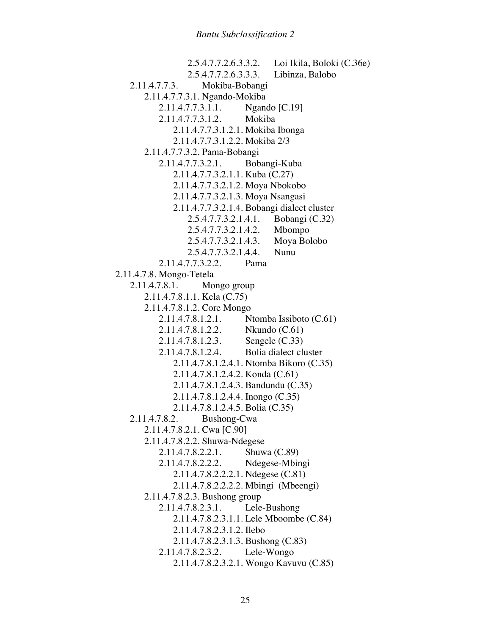2.5.4.7.7.2.6.3.3.2. Loi Ikila, Boloki (C.36e) 2.5.4.7.7.2.6.3.3.3. Libinza, Balobo 2.11.4.7.7.3. Mokiba-Bobangi 2.11.4.7.7.3.1. Ngando-Mokiba 2.11.4.7.7.3.1.1. Ngando [C.19] 2.11.4.7.7.3.1.2. Mokiba 2.11.4.7.7.3.1.2.1. Mokiba Ibonga 2.11.4.7.7.3.1.2.2. Mokiba 2/3 2.11.4.7.7.3.2. Pama-Bobangi 2.11.4.7.7.3.2.1. Bobangi-Kuba 2.11.4.7.7.3.2.1.1. Kuba (C.27) 2.11.4.7.7.3.2.1.2. Moya Nbokobo 2.11.4.7.7.3.2.1.3. Moya Nsangasi 2.11.4.7.7.3.2.1.4. Bobangi dialect cluster 2.5.4.7.7.3.2.1.4.1. Bobangi (C.32) 2.5.4.7.7.3.2.1.4.2. Mbompo 2.5.4.7.7.3.2.1.4.3. Moya Bolobo 2.5.4.7.7.3.2.1.4.4. Nunu 2.11.4.7.7.3.2.2. Pama 2.11.4.7.8. Mongo-Tetela 2.11.4.7.8.1. Mongo group 2.11.4.7.8.1.1. Kela (C.75) 2.11.4.7.8.1.2. Core Mongo 2.11.4.7.8.1.2.1. Ntomba Issiboto (C.61) 2.11.4.7.8.1.2.2. Nkundo (C.61) 2.11.4.7.8.1.2.3. Sengele (C.33) 2.11.4.7.8.1.2.4. Bolia dialect cluster 2.11.4.7.8.1.2.4.1. Ntomba Bikoro (C.35) 2.11.4.7.8.1.2.4.2. Konda (C.61) 2.11.4.7.8.1.2.4.3. Bandundu (C.35) 2.11.4.7.8.1.2.4.4. Inongo (C.35) 2.11.4.7.8.1.2.4.5. Bolia (C.35) 2.11.4.7.8.2. Bushong-Cwa 2.11.4.7.8.2.1. Cwa [C.90] 2.11.4.7.8.2.2. Shuwa-Ndegese 2.11.4.7.8.2.2.1. Shuwa (C.89) 2.11.4.7.8.2.2.2. Ndegese-Mbingi 2.11.4.7.8.2.2.2.1. Ndegese (C.81) 2.11.4.7.8.2.2.2.2. Mbingi (Mbeengi) 2.11.4.7.8.2.3. Bushong group 2.11.4.7.8.2.3.1. Lele-Bushong 2.11.4.7.8.2.3.1.1. Lele Mboombe (C.84) 2.11.4.7.8.2.3.1.2. Ilebo 2.11.4.7.8.2.3.1.3. Bushong (C.83) 2.11.4.7.8.2.3.2. Lele-Wongo 2.11.4.7.8.2.3.2.1. Wongo Kavuvu (C.85)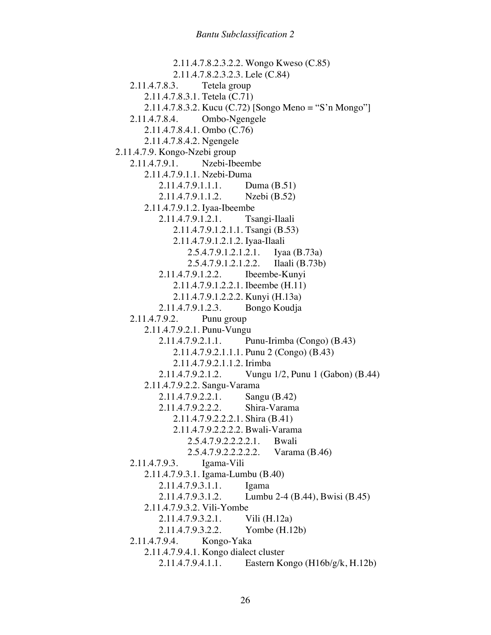2.11.4.7.8.2.3.2.2. Wongo Kweso (C.85) 2.11.4.7.8.2.3.2.3. Lele (C.84) 2.11.4.7.8.3. Tetela group 2.11.4.7.8.3.1. Tetela (C.71) 2.11.4.7.8.3.2. Kucu (C.72) [Songo Meno = "S'n Mongo"] 2.11.4.7.8.4. Ombo-Ngengele 2.11.4.7.8.4.1. Ombo (C.76) 2.11.4.7.8.4.2. Ngengele 2.11.4.7.9. Kongo-Nzebi group 2.11.4.7.9.1. Nzebi-Ibeembe 2.11.4.7.9.1.1. Nzebi-Duma 2.11.4.7.9.1.1.1. Duma (B.51) 2.11.4.7.9.1.1.2. Nzebi (B.52) 2.11.4.7.9.1.2. Iyaa-Ibeembe 2.11.4.7.9.1.2.1. Tsangi-Ilaali 2.11.4.7.9.1.2.1.1. Tsangi (B.53) 2.11.4.7.9.1.2.1.2. Iyaa-Ilaali 2.5.4.7.9.1.2.1.2.1. Iyaa (B.73a) 2.5.4.7.9.1.2.1.2.2. Ilaali (B.73b) 2.11.4.7.9.1.2.2. Ibeembe-Kunyi 2.11.4.7.9.1.2.2.1. Ibeembe (H.11) 2.11.4.7.9.1.2.2.2. Kunyi (H.13a) 2.11.4.7.9.1.2.3. Bongo Koudja 2.11.4.7.9.2. Punu group 2.11.4.7.9.2.1. Punu-Vungu 2.11.4.7.9.2.1.1. Punu-Irimba (Congo) (B.43) 2.11.4.7.9.2.1.1.1. Punu 2 (Congo) (B.43) 2.11.4.7.9.2.1.1.2. Irimba 2.11.4.7.9.2.1.2. Vungu 1/2, Punu 1 (Gabon) (B.44) 2.11.4.7.9.2.2. Sangu-Varama 2.11.4.7.9.2.2.1. Sangu (B.42) 2.11.4.7.9.2.2.2. Shira-Varama 2.11.4.7.9.2.2.2.1. Shira (B.41) 2.11.4.7.9.2.2.2.2. Bwali-Varama 2.5.4.7.9.2.2.2.2.1. Bwali 2.5.4.7.9.2.2.2.2.2. Varama (B.46) 2.11.4.7.9.3. Igama-Vili 2.11.4.7.9.3.1. Igama-Lumbu (B.40) 2.11.4.7.9.3.1.1. Igama 2.11.4.7.9.3.1.2. Lumbu 2-4 (B.44), Bwisi (B.45) 2.11.4.7.9.3.2. Vili-Yombe 2.11.4.7.9.3.2.1. Vili (H.12a) 2.11.4.7.9.3.2.2. Yombe (H.12b) 2.11.4.7.9.4. Kongo-Yaka 2.11.4.7.9.4.1. Kongo dialect cluster 2.11.4.7.9.4.1.1. Eastern Kongo (H16b/g/k, H.12b)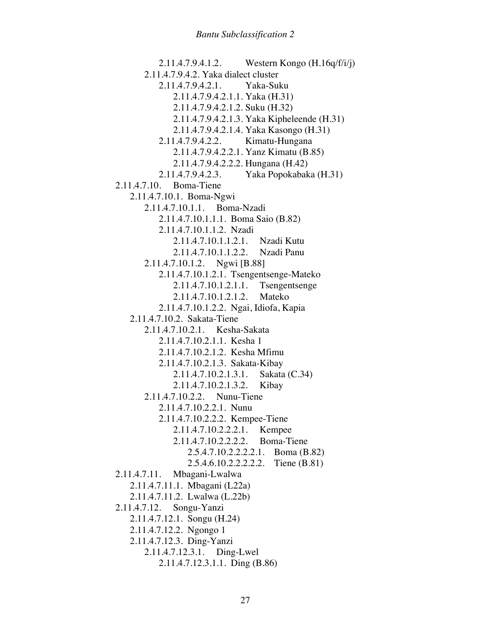2.11.4.7.9.4.1.2. Western Kongo (H.16q/f/i/j) 2.11.4.7.9.4.2. Yaka dialect cluster 2.11.4.7.9.4.2.1. Yaka-Suku 2.11.4.7.9.4.2.1.1. Yaka (H.31) 2.11.4.7.9.4.2.1.2. Suku (H.32) 2.11.4.7.9.4.2.1.3. Yaka Kipheleende (H.31) 2.11.4.7.9.4.2.1.4. Yaka Kasongo (H.31) 2.11.4.7.9.4.2.2. Kimatu-Hungana 2.11.4.7.9.4.2.2.1. Yanz Kimatu (B.85) 2.11.4.7.9.4.2.2.2. Hungana (H.42) 2.11.4.7.9.4.2.3. Yaka Popokabaka (H.31) 2.11.4.7.10. Boma-Tiene 2.11.4.7.10.1. Boma-Ngwi 2.11.4.7.10.1.1. Boma-Nzadi 2.11.4.7.10.1.1.1. Boma Saio (B.82) 2.11.4.7.10.1.1.2. Nzadi 2.11.4.7.10.1.1.2.1. Nzadi Kutu 2.11.4.7.10.1.1.2.2. Nzadi Panu 2.11.4.7.10.1.2. Ngwi [B.88] 2.11.4.7.10.1.2.1. Tsengentsenge-Mateko 2.11.4.7.10.1.2.1.1. Tsengentsenge 2.11.4.7.10.1.2.1.2. Mateko 2.11.4.7.10.1.2.2. Ngai, Idiofa, Kapia 2.11.4.7.10.2. Sakata-Tiene 2.11.4.7.10.2.1. Kesha-Sakata 2.11.4.7.10.2.1.1. Kesha 1 2.11.4.7.10.2.1.2. Kesha Mfimu 2.11.4.7.10.2.1.3. Sakata-Kibay 2.11.4.7.10.2.1.3.1. Sakata (C.34) 2.11.4.7.10.2.1.3.2. Kibay 2.11.4.7.10.2.2. Nunu-Tiene 2.11.4.7.10.2.2.1. Nunu 2.11.4.7.10.2.2.2. Kempee-Tiene 2.11.4.7.10.2.2.2.1. Kempee 2.11.4.7.10.2.2.2.2. Boma-Tiene 2.5.4.7.10.2.2.2.2.1. Boma (B.82) 2.5.4.6.10.2.2.2.2.2. Tiene (B.81) 2.11.4.7.11. Mbagani-Lwalwa 2.11.4.7.11.1. Mbagani (L22a) 2.11.4.7.11.2. Lwalwa (L.22b) 2.11.4.7.12. Songu-Yanzi 2.11.4.7.12.1. Songu (H.24) 2.11.4.7.12.2. Ngongo 1 2.11.4.7.12.3. Ding-Yanzi 2.11.4.7.12.3.1. Ding-Lwel 2.11.4.7.12.3.1.1. Ding (B.86)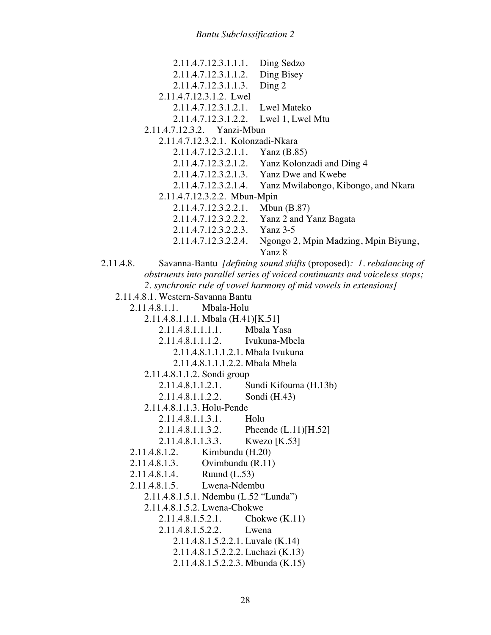|                                                                            | 2.11.4.7.12.3.1.1.1.    | Ding Sedzo                                                                |
|----------------------------------------------------------------------------|-------------------------|---------------------------------------------------------------------------|
|                                                                            | 2.11.4.7.12.3.1.1.2.    | Ding Bisey                                                                |
|                                                                            | 2.11.4.7.12.3.1.1.3.    | Ding 2                                                                    |
|                                                                            | 2.11.4.7.12.3.1.2. Lwel |                                                                           |
|                                                                            | 2.11.4.7.12.3.1.2.1.    | <b>Lwel Mateko</b>                                                        |
|                                                                            | 2.11.4.7.12.3.1.2.2.    | Lwel 1, Lwel Mtu                                                          |
| 2.11.4.7.12.3.2. Yanzi-Mbun                                                |                         |                                                                           |
| 2.11.4.7.12.3.2.1. Kolonzadi-Nkara                                         |                         |                                                                           |
|                                                                            | 2.11.4.7.12.3.2.1.1.    | Yanz $(B.85)$                                                             |
|                                                                            | 2.11.4.7.12.3.2.1.2.    | Yanz Kolonzadi and Ding 4                                                 |
|                                                                            | 2.11.4.7.12.3.2.1.3.    | Yanz Dwe and Kwebe                                                        |
|                                                                            | 2.11.4.7.12.3.2.1.4.    | Yanz Mwilabongo, Kibongo, and Nkara                                       |
| 2.11.4.7.12.3.2.2. Mbun-Mpin                                               |                         |                                                                           |
|                                                                            | 2.11.4.7.12.3.2.2.1.    | Mbun $(B.87)$                                                             |
|                                                                            | 2.11.4.7.12.3.2.2.2.    | Yanz 2 and Yanz Bagata<br><b>Yanz 3-5</b>                                 |
|                                                                            | 2.11.4.7.12.3.2.2.3.    |                                                                           |
|                                                                            | 2.11.4.7.12.3.2.2.4.    | Ngongo 2, Mpin Madzing, Mpin Biyung,<br>Yanz 8                            |
| 2.11.4.8.                                                                  |                         | Savanna-Bantu <i>[defining sound shifts</i> (proposed): 1. rebalancing of |
| obstruents into parallel series of voiced continuants and voiceless stops; |                         |                                                                           |
| 2. synchronic rule of vowel harmony of mid vowels in extensions]           |                         |                                                                           |
| 2.11.4.8.1. Western-Savanna Bantu                                          |                         |                                                                           |
| Mbala-Holu<br>2.11.4.8.1.1.                                                |                         |                                                                           |
| 2.11.4.8.1.1.1. Mbala (H.41)[K.51]                                         |                         |                                                                           |
| 2.11.4.8.1.1.1.1.<br>Mbala Yasa                                            |                         |                                                                           |
| 2.11.4.8.1.1.1.2. Ivukuna-Mbela                                            |                         |                                                                           |
| 2.11.4.8.1.1.1.2.1. Mbala Ivukuna                                          |                         |                                                                           |
| 2.11.4.8.1.1.1.2.2. Mbala Mbela                                            |                         |                                                                           |
| 2.11.4.8.1.1.2. Sondi group                                                |                         |                                                                           |
|                                                                            | 2.11.4.8.1.1.2.1.       | Sundi Kifouma (H.13b)                                                     |
| 2.11.4.8.1.1.2.2.<br>Sondi (H.43)                                          |                         |                                                                           |
| 2.11.4.8.1.1.3. Holu-Pende<br>2.11.4.8.1.1.3.1.<br>Holu                    |                         |                                                                           |
|                                                                            |                         |                                                                           |
|                                                                            | 2.11.4.8.1.1.3.2.       | Pheende $(L.11)[H.52]$                                                    |
|                                                                            | 2.11.4.8.1.1.3.3.       | Kwezo $[K.53]$                                                            |
| Kimbundu (H.20)<br>2.11.4.8.1.2.<br>Ovimbundu (R.11)<br>2.11.4.8.1.3.      |                         |                                                                           |
| Ruund $(L.53)$<br>2.11.4.8.1.4.                                            |                         |                                                                           |
| Lwena-Ndembu<br>2.11.4.8.1.5.                                              |                         |                                                                           |
| 2.11.4.8.1.5.1. Ndembu (L.52 "Lunda")                                      |                         |                                                                           |
| 2.11.4.8.1.5.2. Lwena-Chokwe                                               |                         |                                                                           |
| 2.11.4.8.1.5.2.1.<br>Chokwe $(K.11)$                                       |                         |                                                                           |
|                                                                            | 2.11.4.8.1.5.2.2.       | Lwena                                                                     |
| 2.11.4.8.1.5.2.2.1. Luvale (K.14)                                          |                         |                                                                           |
| 2.11.4.8.1.5.2.2.2. Luchazi (K.13)                                         |                         |                                                                           |
| 2.11.4.8.1.5.2.2.3. Mbunda (K.15)                                          |                         |                                                                           |
|                                                                            |                         |                                                                           |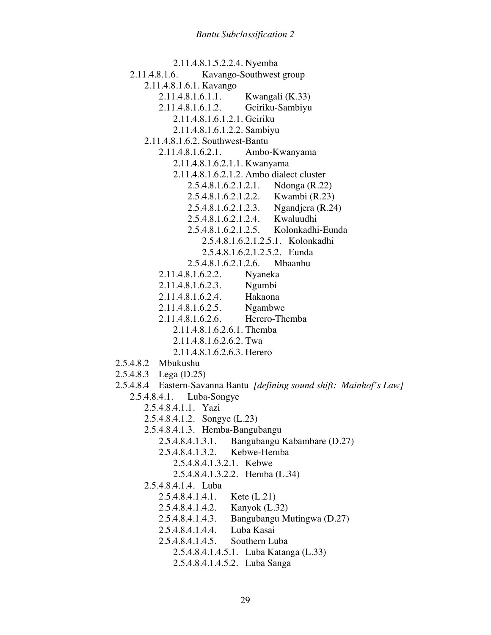2.11.4.8.1.5.2.2.4. Nyemba 2.11.4.8.1.6. Kavango-Southwest group 2.11.4.8.1.6.1. Kavango 2.11.4.8.1.6.1.1. Kwangali (K.33) 2.11.4.8.1.6.1.2. Gciriku-Sambiyu 2.11.4.8.1.6.1.2.1. Gciriku 2.11.4.8.1.6.1.2.2. Sambiyu 2.11.4.8.1.6.2. Southwest-Bantu 2.11.4.8.1.6.2.1. Ambo-Kwanyama 2.11.4.8.1.6.2.1.1. Kwanyama 2.11.4.8.1.6.2.1.2. Ambo dialect cluster 2.5.4.8.1.6.2.1.2.1. Ndonga (R.22) 2.5.4.8.1.6.2.1.2.2. Kwambi (R.23) 2.5.4.8.1.6.2.1.2.3. Ngandjera (R.24) 2.5.4.8.1.6.2.1.2.4. Kwaluudhi 2.5.4.8.1.6.2.1.2.5. Kolonkadhi-Eunda 2.5.4.8.1.6.2.1.2.5.1. Kolonkadhi 2.5.4.8.1.6.2.1.2.5.2. Eunda 2.5.4.8.1.6.2.1.2.6. Mbaanhu 2.11.4.8.1.6.2.2. Nyaneka 2.11.4.8.1.6.2.3. Ngumbi 2.11.4.8.1.6.2.4. Hakaona 2.11.4.8.1.6.2.5. Ngambwe 2.11.4.8.1.6.2.6. Herero-Themba 2.11.4.8.1.6.2.6.1. Themba 2.11.4.8.1.6.2.6.2. Twa 2.11.4.8.1.6.2.6.3. Herero 2.5.4.8.2 Mbukushu 2.5.4.8.3 Lega (D.25) 2.5.4.8.4 Eastern-Savanna Bantu *[defining sound shift: Mainhof's Law]* 2.5.4.8.4.1. Luba-Songye 2.5.4.8.4.1.1. Yazi 2.5.4.8.4.1.2. Songye (L.23) 2.5.4.8.4.1.3. Hemba-Bangubangu 2.5.4.8.4.1.3.1. Bangubangu Kabambare (D.27) 2.5.4.8.4.1.3.2. Kebwe-Hemba 2.5.4.8.4.1.3.2.1. Kebwe 2.5.4.8.4.1.3.2.2. Hemba (L.34) 2.5.4.8.4.1.4. Luba 2.5.4.8.4.1.4.1. Kete (L.21) 2.5.4.8.4.1.4.2. Kanyok (L.32) 2.5.4.8.4.1.4.3. Bangubangu Mutingwa (D.27) 2.5.4.8.4.1.4.4. Luba Kasai 2.5.4.8.4.1.4.5. Southern Luba 2.5.4.8.4.1.4.5.1. Luba Katanga (L.33)

2.5.4.8.4.1.4.5.2. Luba Sanga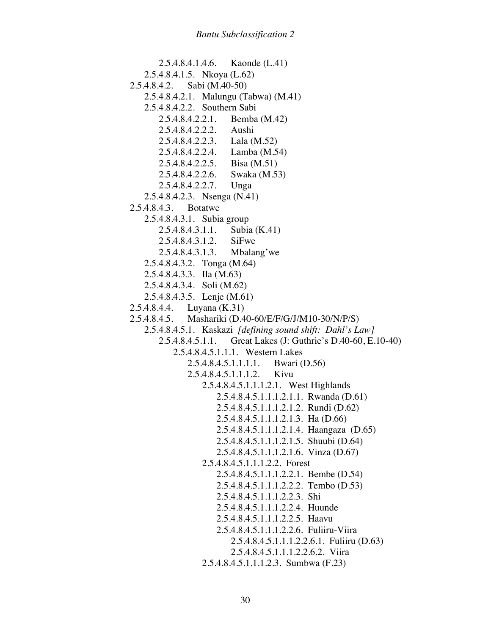2.5.4.8.4.1.4.6. Kaonde (L.41) 2.5.4.8.4.1.5. Nkoya (L.62) 2.5.4.8.4.2. Sabi (M.40-50) 2.5.4.8.4.2.1. Malungu (Tabwa) (M.41) 2.5.4.8.4.2.2. Southern Sabi 2.5.4.8.4.2.2.1. Bemba (M.42) 2.5.4.8.4.2.2.2. Aushi 2.5.4.8.4.2.2.3. Lala (M.52) 2.5.4.8.4.2.2.4. Lamba (M.54) 2.5.4.8.4.2.2.5. Bisa (M.51) 2.5.4.8.4.2.2.6. Swaka (M.53) 2.5.4.8.4.2.2.7. Unga 2.5.4.8.4.2.3. Nsenga (N.41) 2.5.4.8.4.3. Botatwe 2.5.4.8.4.3.1. Subia group 2.5.4.8.4.3.1.1. Subia (K.41) 2.5.4.8.4.3.1.2. SiFwe 2.5.4.8.4.3.1.3. Mbalang'we 2.5.4.8.4.3.2. Tonga (M.64) 2.5.4.8.4.3.3. Ila (M.63) 2.5.4.8.4.3.4. Soli (M.62) 2.5.4.8.4.3.5. Lenje (M.61) 2.5.4.8.4.4. Luyana (K.31) 2.5.4.8.4.5. Mashariki (D.40-60/E/F/G/J/M10-30/N/P/S) 2.5.4.8.4.5.1. Kaskazi *[defining sound shift: Dahl's Law]* 2.5.4.8.4.5.1.1. Great Lakes (J: Guthrie's D.40-60, E.10-40) 2.5.4.8.4.5.1.1.1. Western Lakes 2.5.4.8.4.5.1.1.1.1. Bwari (D.56) 2.5.4.8.4.5.1.1.1.2. Kivu 2.5.4.8.4.5.1.1.1.2.1. West Highlands 2.5.4.8.4.5.1.1.1.2.1.1. Rwanda (D.61) 2.5.4.8.4.5.1.1.1.2.1.2. Rundi (D.62) 2.5.4.8.4.5.1.1.1.2.1.3. Ha (D.66) 2.5.4.8.4.5.1.1.1.2.1.4. Haangaza (D.65) 2.5.4.8.4.5.1.1.1.2.1.5. Shuubi (D.64) 2.5.4.8.4.5.1.1.1.2.1.6. Vinza (D.67) 2.5.4.8.4.5.1.1.1.2.2. Forest 2.5.4.8.4.5.1.1.1.2.2.1. Bembe (D.54) 2.5.4.8.4.5.1.1.1.2.2.2. Tembo (D.53) 2.5.4.8.4.5.1.1.1.2.2.3. Shi 2.5.4.8.4.5.1.1.1.2.2.4. Huunde 2.5.4.8.4.5.1.1.1.2.2.5. Haavu 2.5.4.8.4.5.1.1.1.2.2.6. Fuliiru-Viira 2.5.4.8.4.5.1.1.1.2.2.6.1. Fuliiru (D.63) 2.5.4.8.4.5.1.1.1.2.2.6.2. Viira 2.5.4.8.4.5.1.1.1.2.3. Sumbwa (F.23)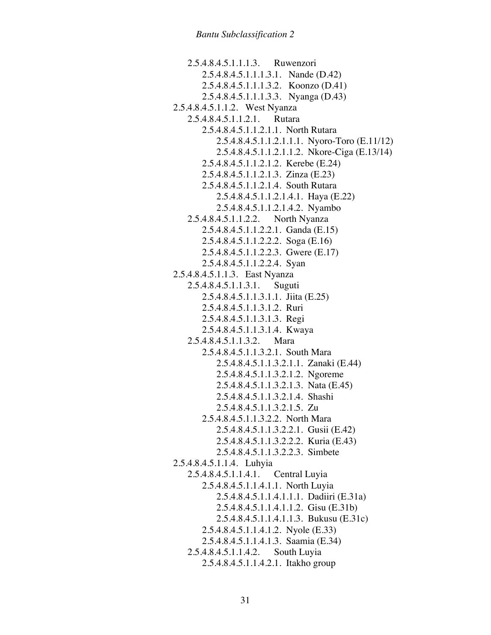2.5.4.8.4.5.1.1.1.3. Ruwenzori 2.5.4.8.4.5.1.1.1.3.1. Nande (D.42) 2.5.4.8.4.5.1.1.1.3.2. Koonzo (D.41) 2.5.4.8.4.5.1.1.1.3.3. Nyanga (D.43) 2.5.4.8.4.5.1.1.2. West Nyanza 2.5.4.8.4.5.1.1.2.1. Rutara 2.5.4.8.4.5.1.1.2.1.1. North Rutara 2.5.4.8.4.5.1.1.2.1.1.1. Nyoro-Toro (E.11/12) 2.5.4.8.4.5.1.1.2.1.1.2. Nkore-Ciga (E.13/14) 2.5.4.8.4.5.1.1.2.1.2. Kerebe (E.24) 2.5.4.8.4.5.1.1.2.1.3. Zinza (E.23) 2.5.4.8.4.5.1.1.2.1.4. South Rutara 2.5.4.8.4.5.1.1.2.1.4.1. Haya (E.22) 2.5.4.8.4.5.1.1.2.1.4.2. Nyambo 2.5.4.8.4.5.1.1.2.2. North Nyanza 2.5.4.8.4.5.1.1.2.2.1. Ganda (E.15) 2.5.4.8.4.5.1.1.2.2.2. Soga (E.16) 2.5.4.8.4.5.1.1.2.2.3. Gwere (E.17) 2.5.4.8.4.5.1.1.2.2.4. Syan 2.5.4.8.4.5.1.1.3. East Nyanza 2.5.4.8.4.5.1.1.3.1. Suguti 2.5.4.8.4.5.1.1.3.1.1. Jiita (E.25) 2.5.4.8.4.5.1.1.3.1.2. Ruri 2.5.4.8.4.5.1.1.3.1.3. Regi 2.5.4.8.4.5.1.1.3.1.4. Kwaya 2.5.4.8.4.5.1.1.3.2. Mara 2.5.4.8.4.5.1.1.3.2.1. South Mara 2.5.4.8.4.5.1.1.3.2.1.1. Zanaki (E.44) 2.5.4.8.4.5.1.1.3.2.1.2. Ngoreme 2.5.4.8.4.5.1.1.3.2.1.3. Nata (E.45) 2.5.4.8.4.5.1.1.3.2.1.4. Shashi 2.5.4.8.4.5.1.1.3.2.1.5. Zu 2.5.4.8.4.5.1.1.3.2.2. North Mara 2.5.4.8.4.5.1.1.3.2.2.1. Gusii (E.42) 2.5.4.8.4.5.1.1.3.2.2.2. Kuria (E.43) 2.5.4.8.4.5.1.1.3.2.2.3. Simbete 2.5.4.8.4.5.1.1.4. Luhyia 2.5.4.8.4.5.1.1.4.1. Central Luyia 2.5.4.8.4.5.1.1.4.1.1. North Luyia 2.5.4.8.4.5.1.1.4.1.1.1. Dadiiri (E.31a) 2.5.4.8.4.5.1.1.4.1.1.2. Gisu (E.31b) 2.5.4.8.4.5.1.1.4.1.1.3. Bukusu (E.31c) 2.5.4.8.4.5.1.1.4.1.2. Nyole (E.33) 2.5.4.8.4.5.1.1.4.1.3. Saamia (E.34) 2.5.4.8.4.5.1.1.4.2. South Luyia 2.5.4.8.4.5.1.1.4.2.1. Itakho group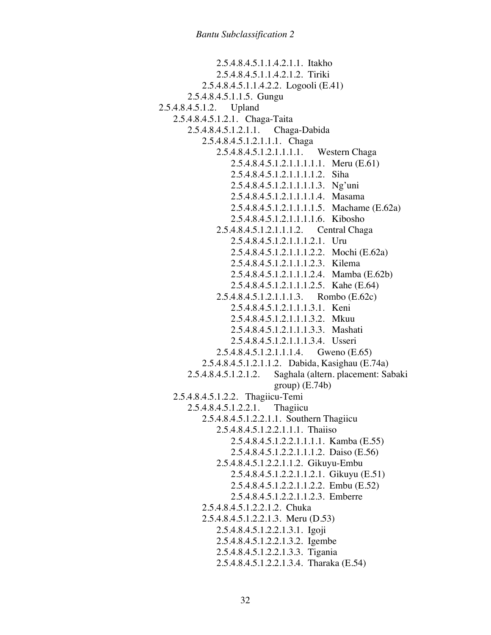2.5.4.8.4.5.1.1.4.2.1.1. Itakho 2.5.4.8.4.5.1.1.4.2.1.2. Tiriki 2.5.4.8.4.5.1.1.4.2.2. Logooli (E.41) 2.5.4.8.4.5.1.1.5. Gungu 2.5.4.8.4.5.1.2. Upland 2.5.4.8.4.5.1.2.1. Chaga-Taita 2.5.4.8.4.5.1.2.1.1. Chaga-Dabida 2.5.4.8.4.5.1.2.1.1.1. Chaga 2.5.4.8.4.5.1.2.1.1.1.1. Western Chaga 2.5.4.8.4.5.1.2.1.1.1.1.1. Meru (E.61) 2.5.4.8.4.5.1.2.1.1.1.1.2. Siha 2.5.4.8.4.5.1.2.1.1.1.1.3. Ng'uni 2.5.4.8.4.5.1.2.1.1.1.1.4. Masama 2.5.4.8.4.5.1.2.1.1.1.1.5. Machame (E.62a) 2.5.4.8.4.5.1.2.1.1.1.1.6. Kibosho 2.5.4.8.4.5.1.2.1.1.1.2. Central Chaga 2.5.4.8.4.5.1.2.1.1.1.2.1. Uru 2.5.4.8.4.5.1.2.1.1.1.2.2. Mochi (E.62a) 2.5.4.8.4.5.1.2.1.1.1.2.3. Kilema 2.5.4.8.4.5.1.2.1.1.1.2.4. Mamba (E.62b) 2.5.4.8.4.5.1.2.1.1.1.2.5. Kahe (E.64) 2.5.4.8.4.5.1.2.1.1.1.3. Rombo (E.62c) 2.5.4.8.4.5.1.2.1.1.1.3.1. Keni 2.5.4.8.4.5.1.2.1.1.1.3.2. Mkuu 2.5.4.8.4.5.1.2.1.1.1.3.3. Mashati 2.5.4.8.4.5.1.2.1.1.1.3.4. Usseri 2.5.4.8.4.5.1.2.1.1.1.4. Gweno (E.65) 2.5.4.8.4.5.1.2.1.1.2. Dabida, Kasighau (E.74a) 2.5.4.8.4.5.1.2.1.2. Saghala (altern. placement: Sabaki  $group)$  (E.74b) 2.5.4.8.4.5.1.2.2. Thagiicu-Temi 2.5.4.8.4.5.1.2.2.1. Thagiicu 2.5.4.8.4.5.1.2.2.1.1. Southern Thagiicu 2.5.4.8.4.5.1.2.2.1.1.1. Thaiiso 2.5.4.8.4.5.1.2.2.1.1.1.1. Kamba (E.55) 2.5.4.8.4.5.1.2.2.1.1.1.2. Daiso (E.56) 2.5.4.8.4.5.1.2.2.1.1.2. Gikuyu-Embu 2.5.4.8.4.5.1.2.2.1.1.2.1. Gikuyu (E.51) 2.5.4.8.4.5.1.2.2.1.1.2.2. Embu (E.52) 2.5.4.8.4.5.1.2.2.1.1.2.3. Emberre 2.5.4.8.4.5.1.2.2.1.2. Chuka 2.5.4.8.4.5.1.2.2.1.3. Meru (D.53) 2.5.4.8.4.5.1.2.2.1.3.1. Igoji 2.5.4.8.4.5.1.2.2.1.3.2. Igembe 2.5.4.8.4.5.1.2.2.1.3.3. Tigania 2.5.4.8.4.5.1.2.2.1.3.4. Tharaka (E.54)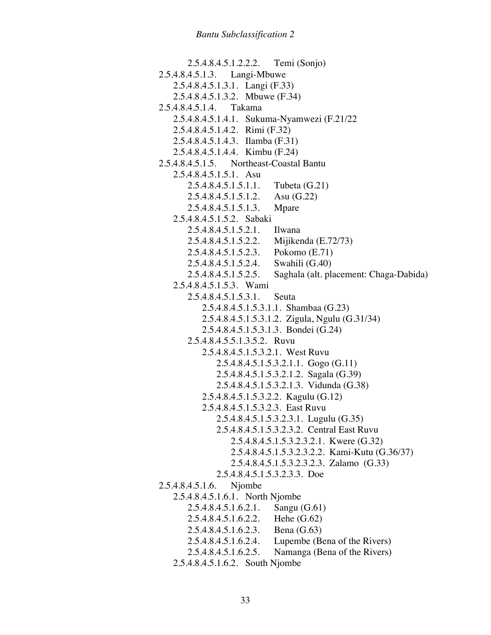2.5.4.8.4.5.1.2.2.2. Temi (Sonjo) 2.5.4.8.4.5.1.3. Langi-Mbuwe 2.5.4.8.4.5.1.3.1. Langi (F.33) 2.5.4.8.4.5.1.3.2. Mbuwe (F.34) 2.5.4.8.4.5.1.4. Takama 2.5.4.8.4.5.1.4.1. Sukuma-Nyamwezi (F.21/22 2.5.4.8.4.5.1.4.2. Rimi (F.32) 2.5.4.8.4.5.1.4.3. Ilamba (F.31) 2.5.4.8.4.5.1.4.4. Kimbu (F.24) 2.5.4.8.4.5.1.5. Northeast-Coastal Bantu 2.5.4.8.4.5.1.5.1. Asu 2.5.4.8.4.5.1.5.1.1. Tubeta (G.21) 2.5.4.8.4.5.1.5.1.2. Asu (G.22) 2.5.4.8.4.5.1.5.1.3. Mpare 2.5.4.8.4.5.1.5.2. Sabaki 2.5.4.8.4.5.1.5.2.1. Ilwana 2.5.4.8.4.5.1.5.2.2. Mijikenda (E.72/73) 2.5.4.8.4.5.1.5.2.3. Pokomo (E.71) 2.5.4.8.4.5.1.5.2.4. Swahili (G.40) 2.5.4.8.4.5.1.5.2.5. Saghala (alt. placement: Chaga-Dabida) 2.5.4.8.4.5.1.5.3. Wami 2.5.4.8.4.5.1.5.3.1. Seuta 2.5.4.8.4.5.1.5.3.1.1. Shambaa (G.23) 2.5.4.8.4.5.1.5.3.1.2. Zigula, Ngulu (G.31/34) 2.5.4.8.4.5.1.5.3.1.3. Bondei (G.24) 2.5.4.8.4.5.5.1.3.5.2. Ruvu 2.5.4.8.4.5.1.5.3.2.1. West Ruvu 2.5.4.8.4.5.1.5.3.2.1.1. Gogo (G.11) 2.5.4.8.4.5.1.5.3.2.1.2. Sagala (G.39) 2.5.4.8.4.5.1.5.3.2.1.3. Vidunda (G.38) 2.5.4.8.4.5.1.5.3.2.2. Kagulu (G.12) 2.5.4.8.4.5.1.5.3.2.3. East Ruvu 2.5.4.8.4.5.1.5.3.2.3.1. Lugulu (G.35) 2.5.4.8.4.5.1.5.3.2.3.2. Central East Ruvu 2.5.4.8.4.5.1.5.3.2.3.2.1. Kwere (G.32) 2.5.4.8.4.5.1.5.3.2.3.2.2. Kami-Kutu (G.36/37) 2.5.4.8.4.5.1.5.3.2.3.2.3. Zalamo (G.33) 2.5.4.8.4.5.1.5.3.2.3.3. Doe 2.5.4.8.4.5.1.6. Njombe 2.5.4.8.4.5.1.6.1. North Njombe 2.5.4.8.4.5.1.6.2.1. Sangu (G.61) 2.5.4.8.4.5.1.6.2.2. Hehe (G.62) 2.5.4.8.4.5.1.6.2.3. Bena (G.63) 2.5.4.8.4.5.1.6.2.4. Lupembe (Bena of the Rivers) 2.5.4.8.4.5.1.6.2.5. Namanga (Bena of the Rivers) 2.5.4.8.4.5.1.6.2. South Njombe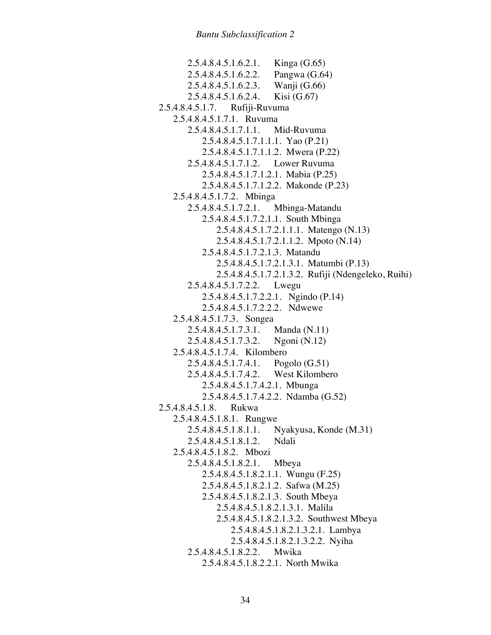2.5.4.8.4.5.1.6.2.1. Kinga (G.65) 2.5.4.8.4.5.1.6.2.2. Pangwa (G.64) 2.5.4.8.4.5.1.6.2.3. Wanji (G.66) 2.5.4.8.4.5.1.6.2.4. Kisi (G.67) 2.5.4.8.4.5.1.7. Rufiji-Ruvuma 2.5.4.8.4.5.1.7.1. Ruvuma 2.5.4.8.4.5.1.7.1.1. Mid-Ruvuma 2.5.4.8.4.5.1.7.1.1.1. Yao (P.21) 2.5.4.8.4.5.1.7.1.1.2. Mwera (P.22) 2.5.4.8.4.5.1.7.1.2. Lower Ruvuma 2.5.4.8.4.5.1.7.1.2.1. Mabia (P.25) 2.5.4.8.4.5.1.7.1.2.2. Makonde (P.23) 2.5.4.8.4.5.1.7.2. Mbinga 2.5.4.8.4.5.1.7.2.1. Mbinga-Matandu 2.5.4.8.4.5.1.7.2.1.1. South Mbinga 2.5.4.8.4.5.1.7.2.1.1.1. Matengo (N.13) 2.5.4.8.4.5.1.7.2.1.1.2. Mpoto (N.14) 2.5.4.8.4.5.1.7.2.1.3. Matandu 2.5.4.8.4.5.1.7.2.1.3.1. Matumbi (P.13) 2.5.4.8.4.5.1.7.2.1.3.2. Rufiji (Ndengeleko, Ruihi) 2.5.4.8.4.5.1.7.2.2. Lwegu 2.5.4.8.4.5.1.7.2.2.1. Ngindo (P.14) 2.5.4.8.4.5.1.7.2.2.2. Ndwewe 2.5.4.8.4.5.1.7.3. Songea 2.5.4.8.4.5.1.7.3.1. Manda (N.11) 2.5.4.8.4.5.1.7.3.2. Ngoni (N.12) 2.5.4.8.4.5.1.7.4. Kilombero 2.5.4.8.4.5.1.7.4.1. Pogolo (G.51) 2.5.4.8.4.5.1.7.4.2. West Kilombero 2.5.4.8.4.5.1.7.4.2.1. Mbunga 2.5.4.8.4.5.1.7.4.2.2. Ndamba (G.52) 2.5.4.8.4.5.1.8. Rukwa 2.5.4.8.4.5.1.8.1. Rungwe 2.5.4.8.4.5.1.8.1.1. Nyakyusa, Konde (M.31) 2.5.4.8.4.5.1.8.1.2. Ndali 2.5.4.8.4.5.1.8.2. Mbozi 2.5.4.8.4.5.1.8.2.1. Mbeya 2.5.4.8.4.5.1.8.2.1.1. Wungu (F.25) 2.5.4.8.4.5.1.8.2.1.2. Safwa (M.25) 2.5.4.8.4.5.1.8.2.1.3. South Mbeya 2.5.4.8.4.5.1.8.2.1.3.1. Malila 2.5.4.8.4.5.1.8.2.1.3.2. Southwest Mbeya 2.5.4.8.4.5.1.8.2.1.3.2.1. Lambya 2.5.4.8.4.5.1.8.2.1.3.2.2. Nyiha 2.5.4.8.4.5.1.8.2.2. Mwika 2.5.4.8.4.5.1.8.2.2.1. North Mwika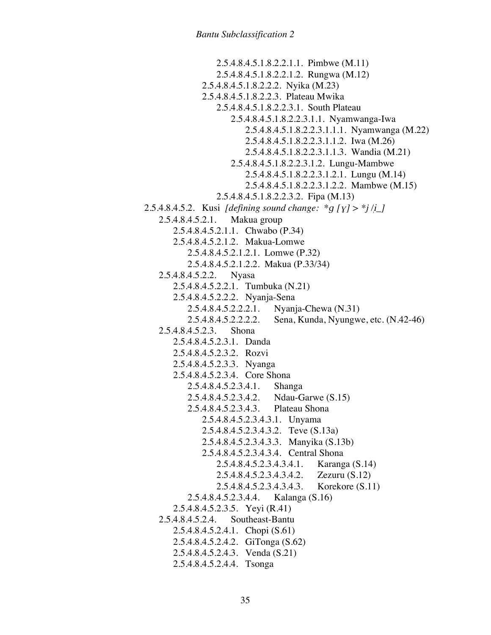2.5.4.8.4.5.1.8.2.2.1.1. Pimbwe (M.11) 2.5.4.8.4.5.1.8.2.2.1.2. Rungwa (M.12) 2.5.4.8.4.5.1.8.2.2.2. Nyika (M.23) 2.5.4.8.4.5.1.8.2.2.3. Plateau Mwika 2.5.4.8.4.5.1.8.2.2.3.1. South Plateau 2.5.4.8.4.5.1.8.2.2.3.1.1. Nyamwanga-Iwa 2.5.4.8.4.5.1.8.2.2.3.1.1.1. Nyamwanga (M.22) 2.5.4.8.4.5.1.8.2.2.3.1.1.2. Iwa (M.26) 2.5.4.8.4.5.1.8.2.2.3.1.1.3. Wandia (M.21) 2.5.4.8.4.5.1.8.2.2.3.1.2. Lungu-Mambwe 2.5.4.8.4.5.1.8.2.2.3.1.2.1. Lungu (M.14) 2.5.4.8.4.5.1.8.2.2.3.1.2.2. Mambwe (M.15) 2.5.4.8.4.5.1.8.2.2.3.2. Fipa (M.13) 2.5.4.8.4.5.2. Kusi *[defining sound change: \*q*  $[y] >$ *\*j/i\_]* 2.5.4.8.4.5.2.1. Makua group 2.5.4.8.4.5.2.1.1. Chwabo (P.34) 2.5.4.8.4.5.2.1.2. Makua-Lomwe 2.5.4.8.4.5.2.1.2.1. Lomwe (P.32) 2.5.4.8.4.5.2.1.2.2. Makua (P.33/34) 2.5.4.8.4.5.2.2. Nyasa 2.5.4.8.4.5.2.2.1. Tumbuka (N.21) 2.5.4.8.4.5.2.2.2. Nyanja-Sena 2.5.4.8.4.5.2.2.2.1. Nyanja-Chewa (N.31) 2.5.4.8.4.5.2.2.2.2. Sena, Kunda, Nyungwe, etc. (N.42-46) 2.5.4.8.4.5.2.3. Shona 2.5.4.8.4.5.2.3.1. Danda 2.5.4.8.4.5.2.3.2. Rozvi 2.5.4.8.4.5.2.3.3. Nyanga 2.5.4.8.4.5.2.3.4. Core Shona 2.5.4.8.4.5.2.3.4.1. Shanga 2.5.4.8.4.5.2.3.4.2. Ndau-Garwe (S.15) 2.5.4.8.4.5.2.3.4.3. Plateau Shona 2.5.4.8.4.5.2.3.4.3.1. Unyama 2.5.4.8.4.5.2.3.4.3.2. Teve (S.13a) 2.5.4.8.4.5.2.3.4.3.3. Manyika (S.13b) 2.5.4.8.4.5.2.3.4.3.4. Central Shona 2.5.4.8.4.5.2.3.4.3.4.1. Karanga (S.14) 2.5.4.8.4.5.2.3.4.3.4.2. Zezuru (S.12) 2.5.4.8.4.5.2.3.4.3.4.3. Korekore (S.11) 2.5.4.8.4.5.2.3.4.4. Kalanga (S.16) 2.5.4.8.4.5.2.3.5. Yeyi (R.41) 2.5.4.8.4.5.2.4. Southeast-Bantu 2.5.4.8.4.5.2.4.1. Chopi (S.61) 2.5.4.8.4.5.2.4.2. GiTonga (S.62) 2.5.4.8.4.5.2.4.3. Venda (S.21) 2.5.4.8.4.5.2.4.4. Tsonga